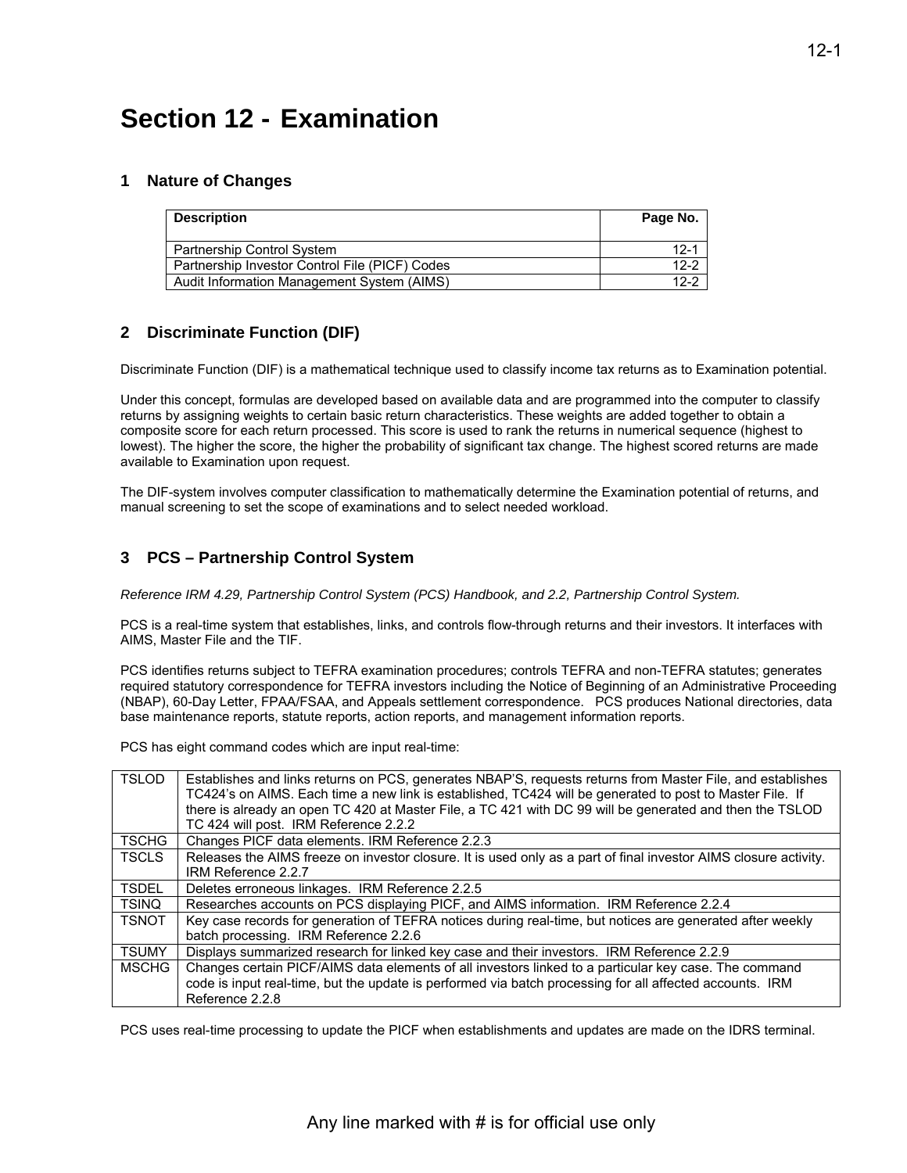# **Section 12 - Examination**

## **1 Nature of Changes**

| <b>Description</b>                             | Page No. |
|------------------------------------------------|----------|
| Partnership Control System                     | $12 - 1$ |
| Partnership Investor Control File (PICF) Codes | $12 - 2$ |
| Audit Information Management System (AIMS)     | $12-2$   |

## **2 Discriminate Function (DIF)**

Discriminate Function (DIF) is a mathematical technique used to classify income tax returns as to Examination potential.

Under this concept, formulas are developed based on available data and are programmed into the computer to classify returns by assigning weights to certain basic return characteristics. These weights are added together to obtain a composite score for each return processed. This score is used to rank the returns in numerical sequence (highest to lowest). The higher the score, the higher the probability of significant tax change. The highest scored returns are made available to Examination upon request.

The DIF-system involves computer classification to mathematically determine the Examination potential of returns, and manual screening to set the scope of examinations and to select needed workload.

## **3 PCS – Partnership Control System**

*Reference IRM 4.29, Partnership Control System (PCS) Handbook, and 2.2, Partnership Control System.* 

PCS is a real-time system that establishes, links, and controls flow-through returns and their investors. It interfaces with AIMS, Master File and the TIF.

PCS identifies returns subject to TEFRA examination procedures; controls TEFRA and non-TEFRA statutes; generates required statutory correspondence for TEFRA investors including the Notice of Beginning of an Administrative Proceeding (NBAP), 60-Day Letter, FPAA/FSAA, and Appeals settlement correspondence. PCS produces National directories, data base maintenance reports, statute reports, action reports, and management information reports.

PCS has eight command codes which are input real-time:

| <b>TSLOD</b> | Establishes and links returns on PCS, generates NBAP'S, requests returns from Master File, and establishes<br>TC424's on AIMS. Each time a new link is established, TC424 will be generated to post to Master File. If |
|--------------|------------------------------------------------------------------------------------------------------------------------------------------------------------------------------------------------------------------------|
|              | there is already an open TC 420 at Master File, a TC 421 with DC 99 will be generated and then the TSLOD<br>TC 424 will post. IRM Reference 2.2.2                                                                      |
| <b>TSCHG</b> | Changes PICF data elements. IRM Reference 2.2.3                                                                                                                                                                        |
| <b>TSCLS</b> | Releases the AIMS freeze on investor closure. It is used only as a part of final investor AIMS closure activity.<br>IRM Reference 2.2.7                                                                                |
| <b>TSDEL</b> | Deletes erroneous linkages. IRM Reference 2.2.5                                                                                                                                                                        |
| <b>TSINQ</b> | Researches accounts on PCS displaying PICF, and AIMS information. IRM Reference 2.2.4                                                                                                                                  |
| <b>TSNOT</b> | Key case records for generation of TEFRA notices during real-time, but notices are generated after weekly                                                                                                              |
|              | batch processing. IRM Reference 2.2.6                                                                                                                                                                                  |
| <b>TSUMY</b> | Displays summarized research for linked key case and their investors. IRM Reference 2.2.9                                                                                                                              |
| <b>MSCHG</b> | Changes certain PICF/AIMS data elements of all investors linked to a particular key case. The command                                                                                                                  |
|              | code is input real-time, but the update is performed via batch processing for all affected accounts. IRM                                                                                                               |
|              | Reference 2.2.8                                                                                                                                                                                                        |

PCS uses real-time processing to update the PICF when establishments and updates are made on the IDRS terminal.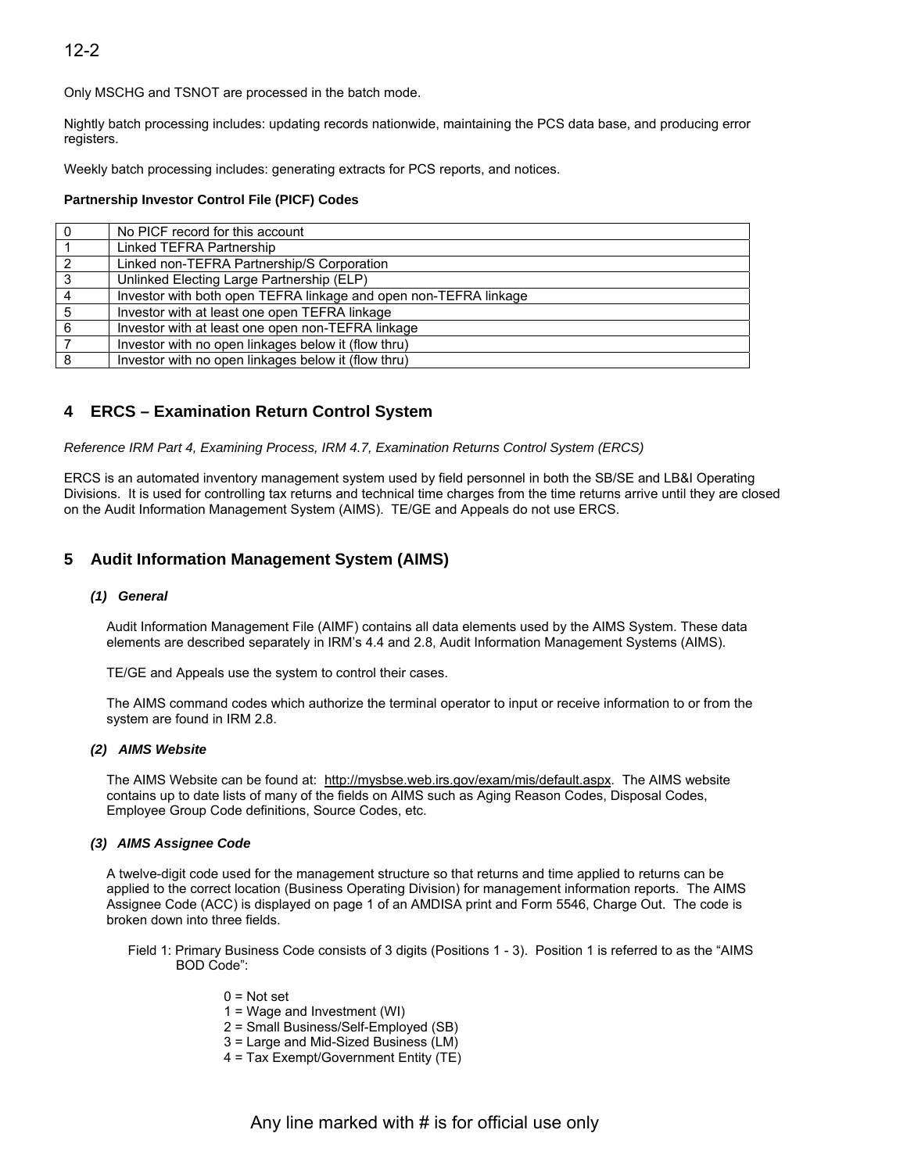## 12-2

Only MSCHG and TSNOT are processed in the batch mode.

Nightly batch processing includes: updating records nationwide, maintaining the PCS data base, and producing error registers.

Weekly batch processing includes: generating extracts for PCS reports, and notices.

#### **Partnership Investor Control File (PICF) Codes**

| 0              | No PICF record for this account                                  |
|----------------|------------------------------------------------------------------|
|                | Linked TEFRA Partnership                                         |
| $\overline{2}$ | Linked non-TEFRA Partnership/S Corporation                       |
| $\mathbf{3}$   | Unlinked Electing Large Partnership (ELP)                        |
| $\overline{4}$ | Investor with both open TEFRA linkage and open non-TEFRA linkage |
| 5              | Investor with at least one open TEFRA linkage                    |
| 6              | Investor with at least one open non-TEFRA linkage                |
|                | Investor with no open linkages below it (flow thru)              |
| 8              | Investor with no open linkages below it (flow thru)              |
|                |                                                                  |

## **4 ERCS – Examination Return Control System**

*Reference IRM Part 4, Examining Process, IRM 4.7, Examination Returns Control System (ERCS)* 

ERCS is an automated inventory management system used by field personnel in both the SB/SE and LB&I Operating Divisions. It is used for controlling tax returns and technical time charges from the time returns arrive until they are closed on the Audit Information Management System (AIMS). TE/GE and Appeals do not use ERCS.

## **5 Audit Information Management System (AIMS)**

#### *(1) General*

Audit Information Management File (AIMF) contains all data elements used by the AIMS System. These data elements are described separately in IRM's 4.4 and 2.8, Audit Information Management Systems (AIMS).

TE/GE and Appeals use the system to control their cases.

The AIMS command codes which authorize the terminal operator to input or receive information to or from the system are found in IRM 2.8.

#### *(2) AIMS Website*

The AIMS Website can be found at: [http://mysbse.web.irs.gov/exam/mis/default.aspx. T](http://mysbse.web.irs.gov/exam/mis/default.aspx)he AIMS website contains up to date lists of many of the fields on AIMS such as Aging Reason Codes, Disposal Codes, Employee Group Code definitions, Source Codes, etc.

#### *(3) AIMS Assignee Code*

A twelve-digit code used for the management structure so that returns and time applied to returns can be applied to the correct location (Business Operating Division) for management information reports. The AIMS Assignee Code (ACC) is displayed on page 1 of an AMDISA print and Form 5546, Charge Out. The code is broken down into three fields.

- Field 1: Primary Business Code consists of 3 digits (Positions 1 3). Position 1 is referred to as the "AIMS BOD Code":
	- $0 = Not set$
	- 1 = Wage and Investment (WI)
	- 2 = Small Business/Self-Employed (SB)
	- 3 = Large and Mid-Sized Business (LM)
	- 4 = Tax Exempt/Government Entity (TE)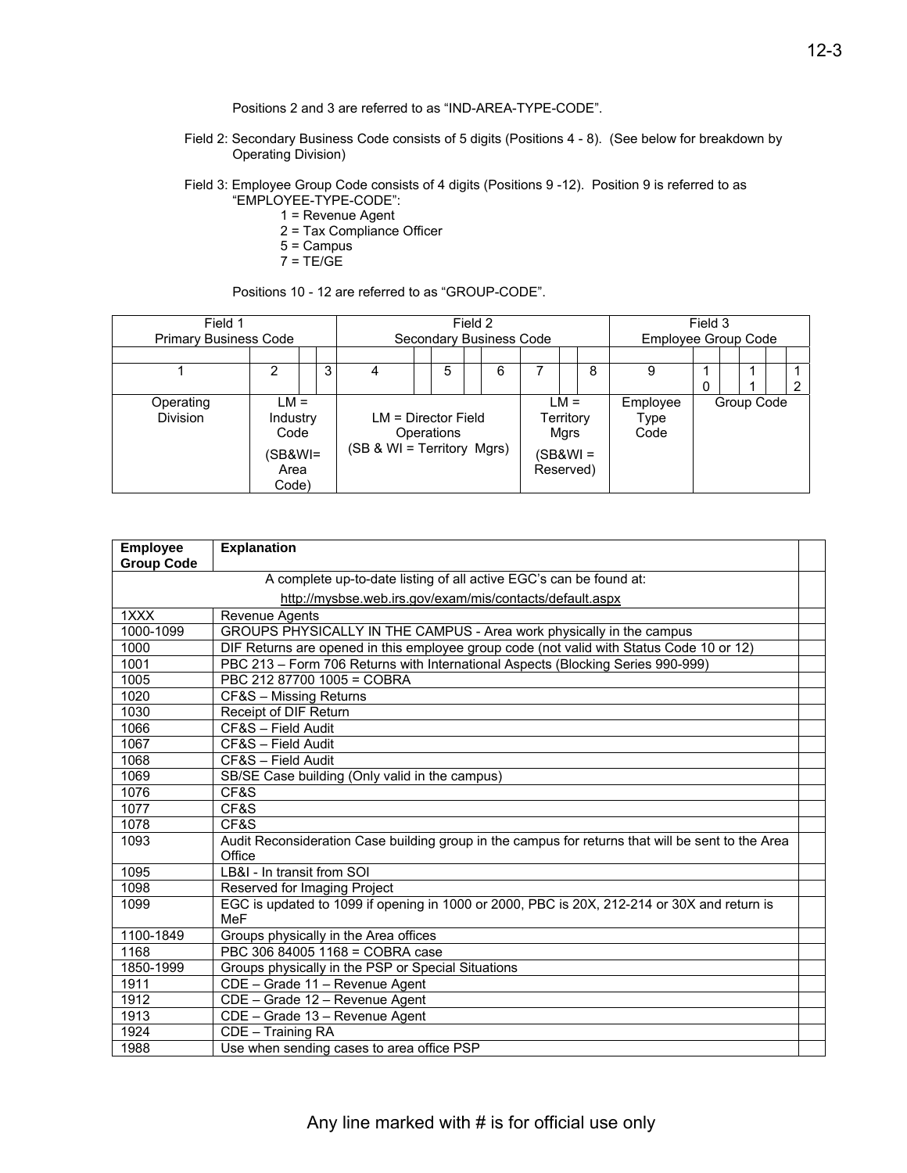Positions 2 and 3 are referred to as "IND-AREA-TYPE-CODE".

- Field 2: Secondary Business Code consists of 5 digits (Positions 4 8). (See below for breakdown by Operating Division)
- Field 3: Employee Group Code consists of 4 digits (Positions 9 -12). Position 9 is referred to as "EMPLOYEE-TYPE-CODE":
	- 1 = Revenue Agent
	- 2 = Tax Compliance Officer
	- 5 = Campus
	- $7 = TE/GE$

Positions 10 - 12 are referred to as "GROUP-CODE".

| Field 1<br><b>Primary Business Code</b> |                                                        | Secondary Business Code | Field 2                                                           |   |                                    |                |  | Employee Group Code      | Field 3 |            |   |  |  |
|-----------------------------------------|--------------------------------------------------------|-------------------------|-------------------------------------------------------------------|---|------------------------------------|----------------|--|--------------------------|---------|------------|---|--|--|
|                                         |                                                        |                         |                                                                   |   |                                    |                |  |                          |         |            |   |  |  |
|                                         | 2                                                      | 3                       |                                                                   | 5 |                                    | 6              |  |                          | 8       | 9          | 0 |  |  |
| Operating<br><b>Division</b>            | $LM =$<br>Industry<br>Code<br>(SB&WI=<br>Area<br>Code) |                         | $LM = Director Field$<br>Operations<br>(SB & WI = Territory Mgrs) |   | Territory<br>(SB&WI =<br>Reserved) | $LM =$<br>Mgrs |  | Employee<br>Type<br>Code |         | Group Code |   |  |  |

| <b>Employee</b>   | <b>Explanation</b>                                                                                |  |
|-------------------|---------------------------------------------------------------------------------------------------|--|
| <b>Group Code</b> |                                                                                                   |  |
|                   | A complete up-to-date listing of all active EGC's can be found at:                                |  |
|                   | http://mysbse.web.irs.gov/exam/mis/contacts/default.aspx                                          |  |
| 1XXX              | Revenue Agents                                                                                    |  |
| 1000-1099         | GROUPS PHYSICALLY IN THE CAMPUS - Area work physically in the campus                              |  |
| 1000              | DIF Returns are opened in this employee group code (not valid with Status Code 10 or 12)          |  |
| 1001              | PBC 213 - Form 706 Returns with International Aspects (Blocking Series 990-999)                   |  |
| 1005              | PBC 212 87700 1005 = COBRA                                                                        |  |
| 1020              | CF&S - Missing Returns                                                                            |  |
| 1030              | Receipt of DIF Return                                                                             |  |
| 1066              | CF&S - Field Audit                                                                                |  |
| 1067              | CF&S - Field Audit                                                                                |  |
| 1068              | CF&S - Field Audit                                                                                |  |
| 1069              | SB/SE Case building (Only valid in the campus)                                                    |  |
| 1076              | CF&S                                                                                              |  |
| 1077              | CF&S                                                                                              |  |
| 1078              | CF&S                                                                                              |  |
| 1093              | Audit Reconsideration Case building group in the campus for returns that will be sent to the Area |  |
|                   | Office                                                                                            |  |
| 1095              | LB&I - In transit from SOI                                                                        |  |
| 1098              | Reserved for Imaging Project                                                                      |  |
| 1099              | EGC is updated to 1099 if opening in 1000 or 2000, PBC is 20X, 212-214 or 30X and return is       |  |
|                   | <b>MeF</b>                                                                                        |  |
| 1100-1849         | Groups physically in the Area offices                                                             |  |
| 1168              | PBC 306 84005 1168 = COBRA case                                                                   |  |
| 1850-1999         | Groups physically in the PSP or Special Situations                                                |  |
| 1911              | CDE - Grade 11 - Revenue Agent                                                                    |  |
| 1912              | CDE - Grade 12 - Revenue Agent                                                                    |  |
| 1913              | CDE - Grade 13 - Revenue Agent                                                                    |  |
| 1924              | CDE - Training RA                                                                                 |  |
| 1988              | Use when sending cases to area office PSP                                                         |  |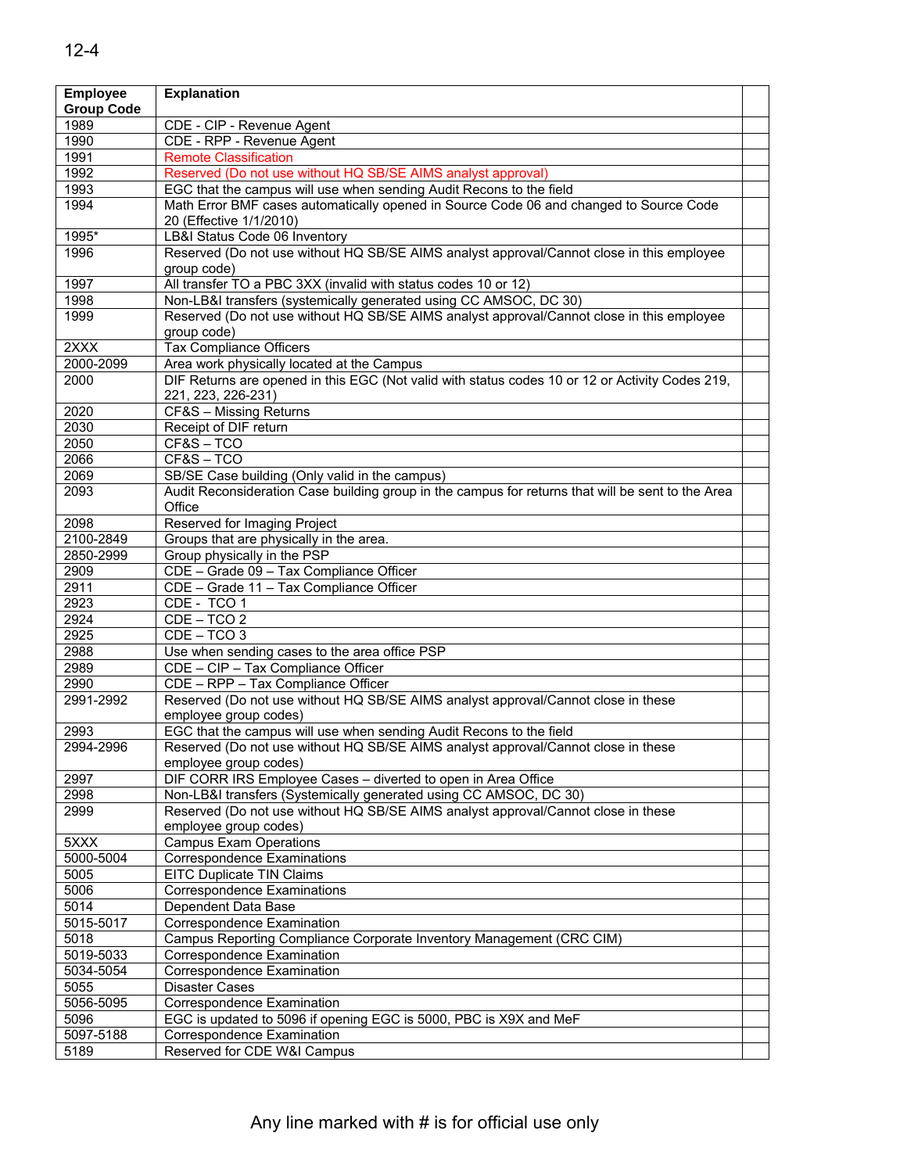| <b>Employee</b>   | <b>Explanation</b>                                                                                          |  |
|-------------------|-------------------------------------------------------------------------------------------------------------|--|
| <b>Group Code</b> |                                                                                                             |  |
| 1989              | CDE - CIP - Revenue Agent                                                                                   |  |
| 1990              | CDE - RPP - Revenue Agent                                                                                   |  |
| 1991              | <b>Remote Classification</b>                                                                                |  |
| 1992              | Reserved (Do not use without HQ SB/SE AIMS analyst approval)                                                |  |
| 1993              | EGC that the campus will use when sending Audit Recons to the field                                         |  |
| 1994              | Math Error BMF cases automatically opened in Source Code 06 and changed to Source Code                      |  |
|                   | 20 (Effective 1/1/2010)                                                                                     |  |
| 1995*             | LB&I Status Code 06 Inventory                                                                               |  |
| 1996              | Reserved (Do not use without HQ SB/SE AIMS analyst approval/Cannot close in this employee                   |  |
|                   | group code)                                                                                                 |  |
| 1997              | All transfer TO a PBC 3XX (invalid with status codes 10 or 12)                                              |  |
| 1998              | Non-LB&I transfers (systemically generated using CC AMSOC, DC 30)                                           |  |
| 1999              | Reserved (Do not use without HQ SB/SE AIMS analyst approval/Cannot close in this employee                   |  |
|                   | group code)                                                                                                 |  |
| 2XXX              | <b>Tax Compliance Officers</b>                                                                              |  |
| 2000-2099         | Area work physically located at the Campus                                                                  |  |
| 2000              | DIF Returns are opened in this EGC (Not valid with status codes 10 or 12 or Activity Codes 219,             |  |
|                   | 221, 223, 226-231)                                                                                          |  |
| 2020              | CF&S - Missing Returns                                                                                      |  |
| 2030              | Receipt of DIF return                                                                                       |  |
| 2050              | CF&S-TCO                                                                                                    |  |
| 2066              | CF&S-TCO                                                                                                    |  |
| 2069              | SB/SE Case building (Only valid in the campus)                                                              |  |
| 2093              | Audit Reconsideration Case building group in the campus for returns that will be sent to the Area<br>Office |  |
| 2098              | Reserved for Imaging Project                                                                                |  |
| 2100-2849         | Groups that are physically in the area.                                                                     |  |
| 2850-2999         | Group physically in the PSP                                                                                 |  |
| 2909              | CDE - Grade 09 - Tax Compliance Officer                                                                     |  |
| 2911              | CDE - Grade 11 - Tax Compliance Officer                                                                     |  |
| 2923              | CDE - TCO 1                                                                                                 |  |
| 2924              | $CDE - TCO 2$                                                                                               |  |
| 2925              | $CDE - TCO$ 3                                                                                               |  |
| 2988              | Use when sending cases to the area office PSP                                                               |  |
| 2989              | CDE - CIP - Tax Compliance Officer                                                                          |  |
| 2990              | CDE - RPP - Tax Compliance Officer                                                                          |  |
| 2991-2992         | Reserved (Do not use without HQ SB/SE AIMS analyst approval/Cannot close in these                           |  |
|                   | employee group codes)                                                                                       |  |
| 2993              | EGC that the campus will use when sending Audit Recons to the field                                         |  |
| 2994-2996         | Reserved (Do not use without HQ SB/SE AIMS analyst approval/Cannot close in these                           |  |
|                   | employee group codes)                                                                                       |  |
| 2997              | DIF CORR IRS Employee Cases - diverted to open in Area Office                                               |  |
| 2998              | Non-LB&I transfers (Systemically generated using CC AMSOC, DC 30)                                           |  |
| 2999              | Reserved (Do not use without HQ SB/SE AIMS analyst approval/Cannot close in these                           |  |
|                   | employee group codes)                                                                                       |  |
| 5XXX<br>5000-5004 | <b>Campus Exam Operations</b>                                                                               |  |
| 5005              | <b>Correspondence Examinations</b><br><b>EITC Duplicate TIN Claims</b>                                      |  |
| 5006              | <b>Correspondence Examinations</b>                                                                          |  |
| 5014              | Dependent Data Base                                                                                         |  |
| 5015-5017         | Correspondence Examination                                                                                  |  |
| $50\overline{18}$ | Campus Reporting Compliance Corporate Inventory Management (CRC CIM)                                        |  |
| 5019-5033         | Correspondence Examination                                                                                  |  |
| 5034-5054         | Correspondence Examination                                                                                  |  |
| 5055              | <b>Disaster Cases</b>                                                                                       |  |
| 5056-5095         | Correspondence Examination                                                                                  |  |
| 5096              | EGC is updated to 5096 if opening EGC is 5000, PBC is X9X and MeF                                           |  |
| 5097-5188         | Correspondence Examination                                                                                  |  |
| 5189              | Reserved for CDE W&I Campus                                                                                 |  |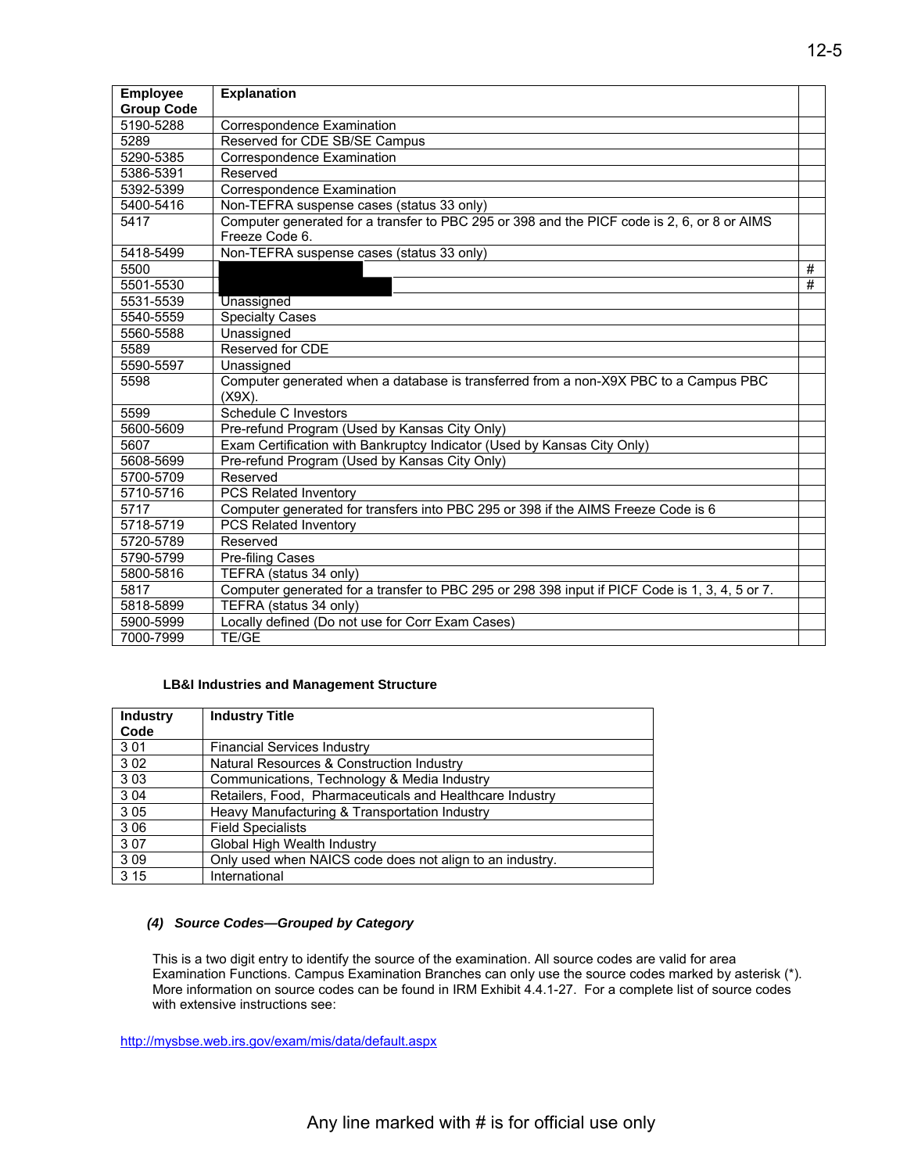| <b>Employee</b>   | <b>Explanation</b>                                                                                            |   |
|-------------------|---------------------------------------------------------------------------------------------------------------|---|
| <b>Group Code</b> |                                                                                                               |   |
| 5190-5288         | Correspondence Examination                                                                                    |   |
| 5289              | Reserved for CDE SB/SE Campus                                                                                 |   |
| 5290-5385         | Correspondence Examination                                                                                    |   |
| 5386-5391         | Reserved                                                                                                      |   |
| 5392-5399         | Correspondence Examination                                                                                    |   |
| 5400-5416         | Non-TEFRA suspense cases (status 33 only)                                                                     |   |
| 5417              | Computer generated for a transfer to PBC 295 or 398 and the PICF code is 2, 6, or 8 or AIMS<br>Freeze Code 6. |   |
| 5418-5499         | Non-TEFRA suspense cases (status 33 only)                                                                     |   |
| 5500              |                                                                                                               | # |
| 5501-5530         |                                                                                                               | # |
| 5531-5539         | Unassigned                                                                                                    |   |
| 5540-5559         | <b>Specialty Cases</b>                                                                                        |   |
| 5560-5588         | Unassigned                                                                                                    |   |
| 5589              | Reserved for CDE                                                                                              |   |
| 5590-5597         | Unassigned                                                                                                    |   |
| 5598              | Computer generated when a database is transferred from a non-X9X PBC to a Campus PBC                          |   |
|                   | $(X9X)$ .                                                                                                     |   |
| 5599              | Schedule C Investors                                                                                          |   |
| 5600-5609         | Pre-refund Program (Used by Kansas City Only)                                                                 |   |
| 5607              | Exam Certification with Bankruptcy Indicator (Used by Kansas City Only)                                       |   |
| 5608-5699         | Pre-refund Program (Used by Kansas City Only)                                                                 |   |
| 5700-5709         | Reserved                                                                                                      |   |
| 5710-5716         | PCS Related Inventory                                                                                         |   |
| 5717              | Computer generated for transfers into PBC 295 or 398 if the AIMS Freeze Code is 6                             |   |
| 5718-5719         | PCS Related Inventory                                                                                         |   |
| 5720-5789         | Reserved                                                                                                      |   |
| 5790-5799         | Pre-filing Cases                                                                                              |   |
| 5800-5816         | TEFRA (status 34 only)                                                                                        |   |
| 5817              | Computer generated for a transfer to PBC 295 or 298 398 input if PICF Code is 1, 3, 4, 5 or 7.                |   |
| 5818-5899         | TEFRA (status 34 only)                                                                                        |   |
| 5900-5999         | Locally defined (Do not use for Corr Exam Cases)                                                              |   |
| 7000-7999         | TE/GE                                                                                                         |   |

#### **LB&I Industries and Management Structure**

| <b>Industry</b> | <b>Industry Title</b>                                    |
|-----------------|----------------------------------------------------------|
| Code            |                                                          |
| 3 0 1           | <b>Financial Services Industry</b>                       |
| 3 0 2           | Natural Resources & Construction Industry                |
| 303             | Communications, Technology & Media Industry              |
| 3 0 4           | Retailers, Food, Pharmaceuticals and Healthcare Industry |
| 3 0 5           | Heavy Manufacturing & Transportation Industry            |
| 3 0 6           | <b>Field Specialists</b>                                 |
| 307             | Global High Wealth Industry                              |
| 309             | Only used when NAICS code does not align to an industry. |
| 3 1 5           | International                                            |

#### *(4) Source Codes—Grouped by Category*

 with extensive instructions see: This is a two digit entry to identify the source of the examination. All source codes are valid for area Examination Functions. Campus Examination Branches can only use the source codes marked by asterisk (\*). More information on source codes can be found in IRM Exhibit 4.4.1-27. For a complete list of source codes

<http://mysbse.web.irs.gov/exam/mis/data/default.aspx>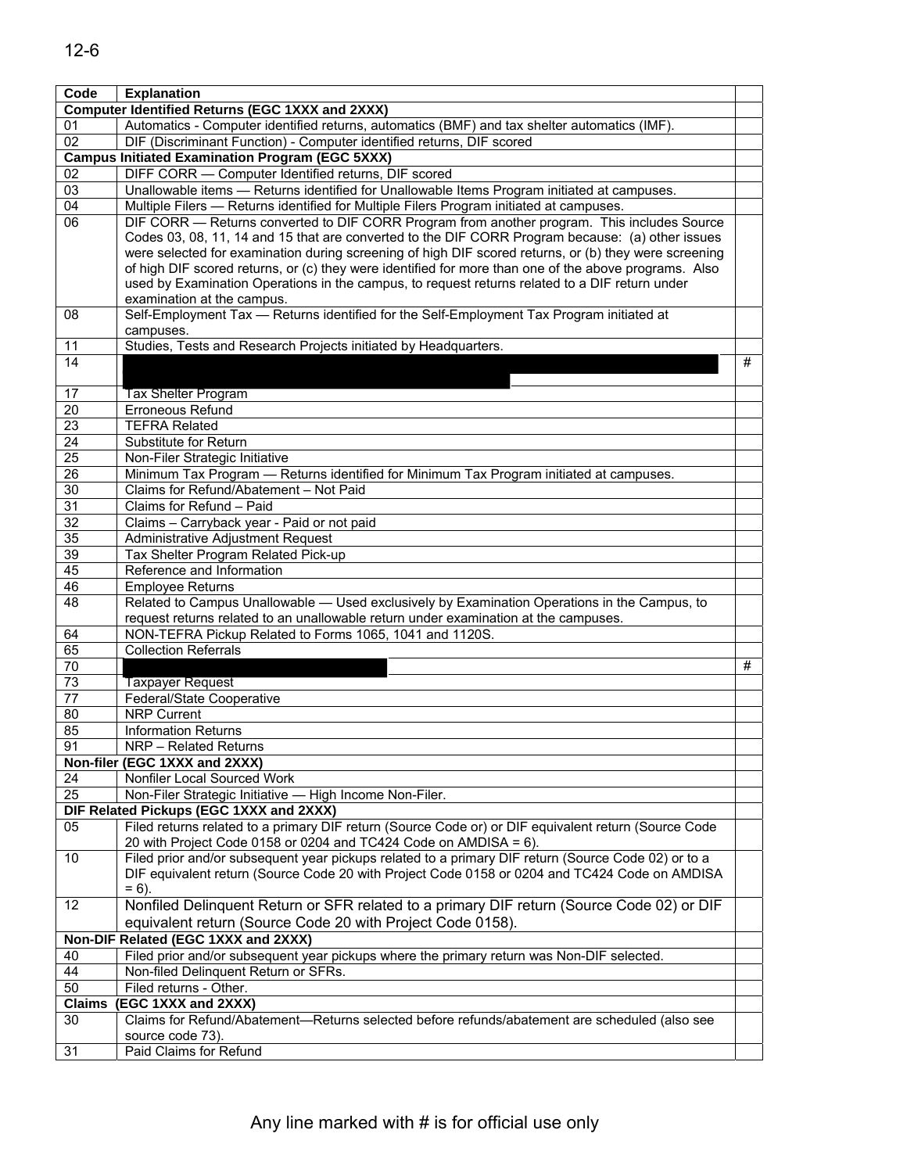| Code            | <b>Explanation</b>                                                                                                   |   |
|-----------------|----------------------------------------------------------------------------------------------------------------------|---|
|                 | <b>Computer Identified Returns (EGC 1XXX and 2XXX)</b>                                                               |   |
| 01              | Automatics - Computer identified returns, automatics (BMF) and tax shelter automatics (IMF).                         |   |
| 02              | DIF (Discriminant Function) - Computer identified returns, DIF scored                                                |   |
|                 | <b>Campus Initiated Examination Program (EGC 5XXX)</b>                                                               |   |
| 02              | DIFF CORR - Computer Identified returns, DIF scored                                                                  |   |
| 03              | Unallowable items - Returns identified for Unallowable Items Program initiated at campuses.                          |   |
| 04              | Multiple Filers - Returns identified for Multiple Filers Program initiated at campuses.                              |   |
| 06              | DIF CORR - Returns converted to DIF CORR Program from another program. This includes Source                          |   |
|                 | Codes 03, 08, 11, 14 and 15 that are converted to the DIF CORR Program because: (a) other issues                     |   |
|                 | were selected for examination during screening of high DIF scored returns, or (b) they were screening                |   |
|                 | of high DIF scored returns, or (c) they were identified for more than one of the above programs. Also                |   |
|                 | used by Examination Operations in the campus, to request returns related to a DIF return under                       |   |
|                 | examination at the campus.                                                                                           |   |
| 08              | Self-Employment Tax - Returns identified for the Self-Employment Tax Program initiated at                            |   |
|                 | campuses.                                                                                                            |   |
| 11              | Studies, Tests and Research Projects initiated by Headquarters.                                                      |   |
| 14              |                                                                                                                      | # |
|                 |                                                                                                                      |   |
| 17              | <b>Tax Shelter Program</b>                                                                                           |   |
| $\overline{20}$ | Erroneous Refund                                                                                                     |   |
| 23              | <b>TEFRA Related</b>                                                                                                 |   |
| 24              | Substitute for Return                                                                                                |   |
| 25              | Non-Filer Strategic Initiative                                                                                       |   |
| 26              | Minimum Tax Program - Returns identified for Minimum Tax Program initiated at campuses.                              |   |
| 30              | Claims for Refund/Abatement - Not Paid                                                                               |   |
| 31              | Claims for Refund - Paid                                                                                             |   |
| 32              | Claims - Carryback year - Paid or not paid                                                                           |   |
| 35              | Administrative Adjustment Request                                                                                    |   |
| $\overline{39}$ | Tax Shelter Program Related Pick-up                                                                                  |   |
| 45              | Reference and Information                                                                                            |   |
| 46              | <b>Employee Returns</b>                                                                                              |   |
| 48              | Related to Campus Unallowable — Used exclusively by Examination Operations in the Campus, to                         |   |
|                 | request returns related to an unallowable return under examination at the campuses.                                  |   |
| 64              | NON-TEFRA Pickup Related to Forms 1065, 1041 and 1120S.                                                              |   |
| 65              | <b>Collection Referrals</b>                                                                                          |   |
| 70              |                                                                                                                      | # |
| 73              | Taxpayer Request                                                                                                     |   |
| 77              | Federal/State Cooperative                                                                                            |   |
| 80              | <b>NRP Current</b>                                                                                                   |   |
| 85              | <b>Information Returns</b>                                                                                           |   |
| 91              | NRP - Related Returns                                                                                                |   |
|                 | Non-filer (EGC 1XXX and 2XXX)                                                                                        |   |
| 24<br>25        | Nonfiler Local Sourced Work                                                                                          |   |
|                 | Non-Filer Strategic Initiative - High Income Non-Filer.<br>DIF Related Pickups (EGC 1XXX and 2XXX)                   |   |
| 05              | Filed returns related to a primary DIF return (Source Code or) or DIF equivalent return (Source Code                 |   |
|                 | 20 with Project Code 0158 or 0204 and TC424 Code on AMDISA = 6).                                                     |   |
| 10              | Filed prior and/or subsequent year pickups related to a primary DIF return (Source Code 02) or to a                  |   |
|                 | DIF equivalent return (Source Code 20 with Project Code 0158 or 0204 and TC424 Code on AMDISA                        |   |
|                 | $= 6$ ).                                                                                                             |   |
| 12              | Nonfiled Delinquent Return or SFR related to a primary DIF return (Source Code 02) or DIF                            |   |
|                 | equivalent return (Source Code 20 with Project Code 0158).                                                           |   |
|                 | Non-DIF Related (EGC 1XXX and 2XXX)                                                                                  |   |
|                 | Filed prior and/or subsequent year pickups where the primary return was Non-DIF selected.                            |   |
| 40              |                                                                                                                      |   |
| 44<br>50        | Non-filed Delinquent Return or SFRs.                                                                                 |   |
|                 | Filed returns - Other.                                                                                               |   |
| <b>Claims</b>   | (EGC 1XXX and 2XXX)<br>Claims for Refund/Abatement-Returns selected before refunds/abatement are scheduled (also see |   |
| 30              |                                                                                                                      |   |
| 31              | source code 73).<br>Paid Claims for Refund                                                                           |   |
|                 |                                                                                                                      |   |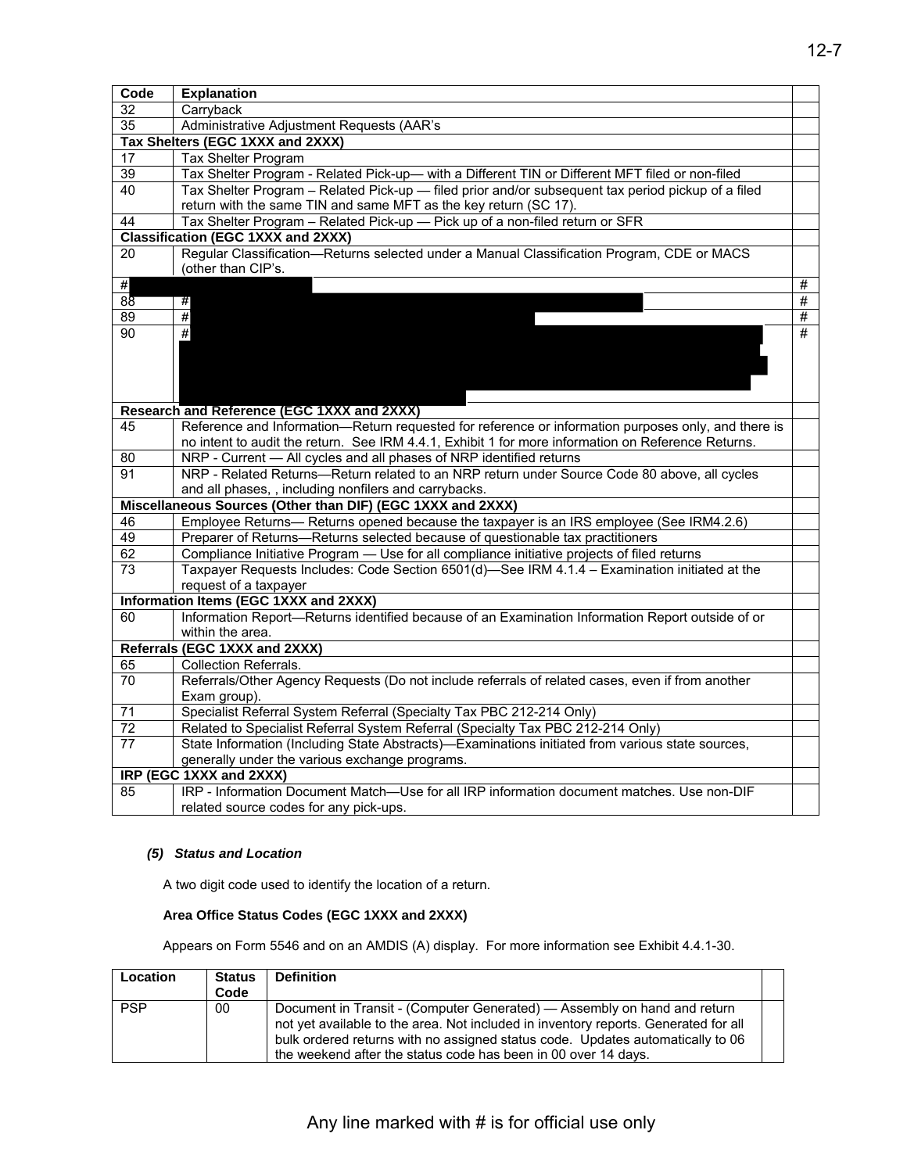| Code | <b>Explanation</b>                                                                                  |   |
|------|-----------------------------------------------------------------------------------------------------|---|
| 32   | Carryback                                                                                           |   |
| 35   | Administrative Adjustment Requests (AAR's                                                           |   |
|      | Tax Shelters (EGC 1XXX and 2XXX)                                                                    |   |
| 17   | Tax Shelter Program                                                                                 |   |
| 39   | Tax Shelter Program - Related Pick-up- with a Different TIN or Different MFT filed or non-filed     |   |
| 40   | Tax Shelter Program – Related Pick-up — filed prior and/or subsequent tax period pickup of a filed  |   |
|      | return with the same TIN and same MFT as the key return (SC 17).                                    |   |
| 44   | Tax Shelter Program - Related Pick-up - Pick up of a non-filed return or SFR                        |   |
|      | <b>Classification (EGC 1XXX and 2XXX)</b>                                                           |   |
| 20   | Regular Classification-Returns selected under a Manual Classification Program, CDE or MACS          |   |
|      | (other than CIP's.                                                                                  |   |
| #    |                                                                                                     | # |
| 88   | #                                                                                                   | # |
| 89   | $\overline{\boldsymbol{r}}$                                                                         | # |
| 90   | #                                                                                                   | # |
|      |                                                                                                     |   |
|      |                                                                                                     |   |
|      |                                                                                                     |   |
|      |                                                                                                     |   |
|      | Research and Reference (EGC 1XXX and 2XXX)                                                          |   |
| 45   | Reference and Information-Return requested for reference or information purposes only, and there is |   |
|      | no intent to audit the return. See IRM 4.4.1, Exhibit 1 for more information on Reference Returns.  |   |
| 80   | NRP - Current - All cycles and all phases of NRP identified returns                                 |   |
| 91   | NRP - Related Returns-Return related to an NRP return under Source Code 80 above, all cycles        |   |
|      | and all phases, , including nonfilers and carrybacks.                                               |   |
|      | Miscellaneous Sources (Other than DIF) (EGC 1XXX and 2XXX)                                          |   |
| 46   | Employee Returns— Returns opened because the taxpayer is an IRS employee (See IRM4.2.6)             |   |
| 49   | Preparer of Returns-Returns selected because of questionable tax practitioners                      |   |
| 62   | Compliance Initiative Program - Use for all compliance initiative projects of filed returns         |   |
| 73   | Taxpayer Requests Includes: Code Section 6501(d)-See IRM 4.1.4 - Examination initiated at the       |   |
|      | request of a taxpayer                                                                               |   |
|      | Information Items (EGC 1XXX and 2XXX)                                                               |   |
| 60   | Information Report-Returns identified because of an Examination Information Report outside of or    |   |
|      | within the area.                                                                                    |   |
|      | Referrals (EGC 1XXX and 2XXX)                                                                       |   |
| 65   | <b>Collection Referrals.</b>                                                                        |   |
| 70   | Referrals/Other Agency Requests (Do not include referrals of related cases, even if from another    |   |
|      | Exam group).                                                                                        |   |
| 71   | Specialist Referral System Referral (Specialty Tax PBC 212-214 Only)                                |   |
| 72   | Related to Specialist Referral System Referral (Specialty Tax PBC 212-214 Only)                     |   |
| 77   | State Information (Including State Abstracts)-Examinations initiated from various state sources,    |   |
|      | generally under the various exchange programs.                                                      |   |
|      | IRP (EGC 1XXX and 2XXX)                                                                             |   |
| 85   | IRP - Information Document Match-Use for all IRP information document matches. Use non-DIF          |   |
|      | related source codes for any pick-ups.                                                              |   |

#### *(5) Status and Location*

A two digit code used to identify the location of a return.

#### **Area Office Status Codes (EGC 1XXX and 2XXX)**

Appears on Form 5546 and on an AMDIS (A) display. For more information see Exhibit 4.4.1-30.

| Location   | <b>Status</b><br>Code | <b>Definition</b>                                                                                                                                                                                                                                                                                                   |  |
|------------|-----------------------|---------------------------------------------------------------------------------------------------------------------------------------------------------------------------------------------------------------------------------------------------------------------------------------------------------------------|--|
| <b>PSP</b> | 00                    | Document in Transit - (Computer Generated) — Assembly on hand and return<br>not yet available to the area. Not included in inventory reports. Generated for all<br>bulk ordered returns with no assigned status code. Updates automatically to 06<br>the weekend after the status code has been in 00 over 14 days. |  |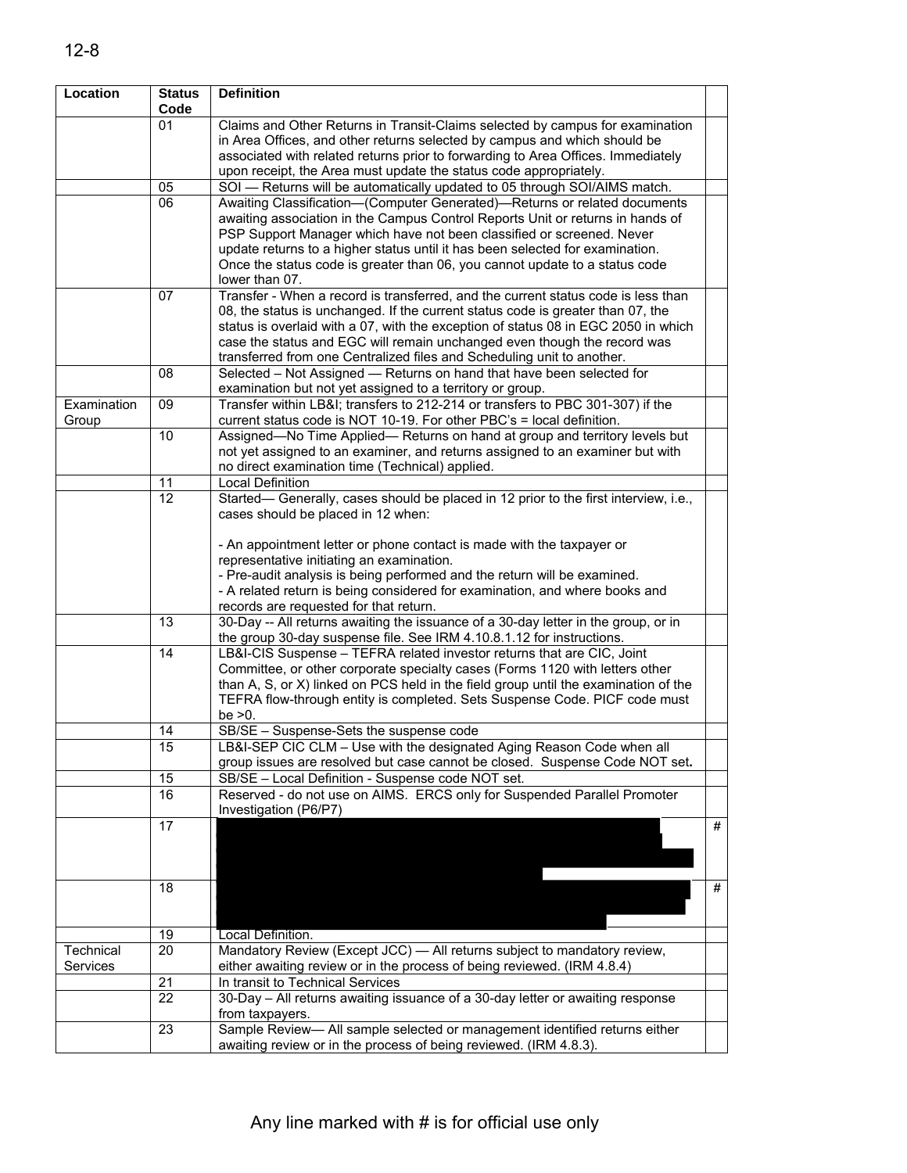| Location    | <b>Status</b><br>Code | <b>Definition</b>                                                                    |            |
|-------------|-----------------------|--------------------------------------------------------------------------------------|------------|
|             | 01                    | Claims and Other Returns in Transit-Claims selected by campus for examination        |            |
|             |                       | in Area Offices, and other returns selected by campus and which should be            |            |
|             |                       | associated with related returns prior to forwarding to Area Offices. Immediately     |            |
|             |                       | upon receipt, the Area must update the status code appropriately.                    |            |
|             | 05                    | SOI - Returns will be automatically updated to 05 through SOI/AIMS match.            |            |
|             | 06                    | Awaiting Classification-(Computer Generated)-Returns or related documents            |            |
|             |                       | awaiting association in the Campus Control Reports Unit or returns in hands of       |            |
|             |                       | PSP Support Manager which have not been classified or screened. Never                |            |
|             |                       | update returns to a higher status until it has been selected for examination.        |            |
|             |                       | Once the status code is greater than 06, you cannot update to a status code          |            |
|             |                       | lower than 07.                                                                       |            |
|             | 07                    | Transfer - When a record is transferred, and the current status code is less than    |            |
|             |                       | 08, the status is unchanged. If the current status code is greater than 07, the      |            |
|             |                       | status is overlaid with a 07, with the exception of status 08 in EGC 2050 in which   |            |
|             |                       | case the status and EGC will remain unchanged even though the record was             |            |
|             |                       | transferred from one Centralized files and Scheduling unit to another.               |            |
|             | 08                    | Selected - Not Assigned - Returns on hand that have been selected for                |            |
|             |                       | examination but not yet assigned to a territory or group.                            |            |
| Examination | 09                    | Transfer within LB&I transfers to 212-214 or transfers to PBC 301-307) if the        |            |
| Group       |                       | current status code is NOT 10-19. For other PBC's = local definition.                |            |
|             | 10                    | Assigned-No Time Applied- Returns on hand at group and territory levels but          |            |
|             |                       | not yet assigned to an examiner, and returns assigned to an examiner but with        |            |
|             |                       | no direct examination time (Technical) applied.                                      |            |
|             | 11                    | Local Definition                                                                     |            |
|             | $\overline{12}$       | Started— Generally, cases should be placed in 12 prior to the first interview, i.e., |            |
|             |                       | cases should be placed in 12 when:                                                   |            |
|             |                       |                                                                                      |            |
|             |                       | - An appointment letter or phone contact is made with the taxpayer or                |            |
|             |                       | representative initiating an examination.                                            |            |
|             |                       | - Pre-audit analysis is being performed and the return will be examined.             |            |
|             |                       | - A related return is being considered for examination, and where books and          |            |
|             |                       | records are requested for that return.                                               |            |
|             | 13                    | 30-Day -- All returns awaiting the issuance of a 30-day letter in the group, or in   |            |
|             |                       | the group 30-day suspense file. See IRM 4.10.8.1.12 for instructions.                |            |
|             | 14                    | LB&I-CIS Suspense - TEFRA related investor returns that are CIC, Joint               |            |
|             |                       | Committee, or other corporate specialty cases (Forms 1120 with letters other         |            |
|             |                       | than A, S, or X) linked on PCS held in the field group until the examination of the  |            |
|             |                       | TEFRA flow-through entity is completed. Sets Suspense Code. PICF code must           |            |
|             |                       | be $>0$ .                                                                            |            |
|             | 14                    | SB/SE - Suspense-Sets the suspense code                                              |            |
|             | 15                    | LB&I-SEP CIC CLM - Use with the designated Aging Reason Code when all                |            |
|             |                       | group issues are resolved but case cannot be closed. Suspense Code NOT set.          |            |
|             | 15                    | SB/SE - Local Definition - Suspense code NOT set.                                    |            |
|             | 16                    | Reserved - do not use on AIMS. ERCS only for Suspended Parallel Promoter             |            |
|             |                       | Investigation (P6/P7)                                                                |            |
|             | 17                    |                                                                                      | #          |
|             |                       |                                                                                      |            |
|             |                       |                                                                                      |            |
|             |                       |                                                                                      |            |
|             | 18                    |                                                                                      | $\pmb{\#}$ |
|             |                       |                                                                                      |            |
|             |                       |                                                                                      |            |
|             | 19                    | Local Definition.                                                                    |            |
| Technical   | 20                    | Mandatory Review (Except JCC) - All returns subject to mandatory review,             |            |
| Services    |                       | either awaiting review or in the process of being reviewed. (IRM 4.8.4)              |            |
|             | 21                    | In transit to Technical Services                                                     |            |
|             | 22                    | 30-Day - All returns awaiting issuance of a 30-day letter or awaiting response       |            |
|             |                       | from taxpayers.                                                                      |            |
|             | 23                    | Sample Review- All sample selected or management identified returns either           |            |
|             |                       | awaiting review or in the process of being reviewed. (IRM 4.8.3).                    |            |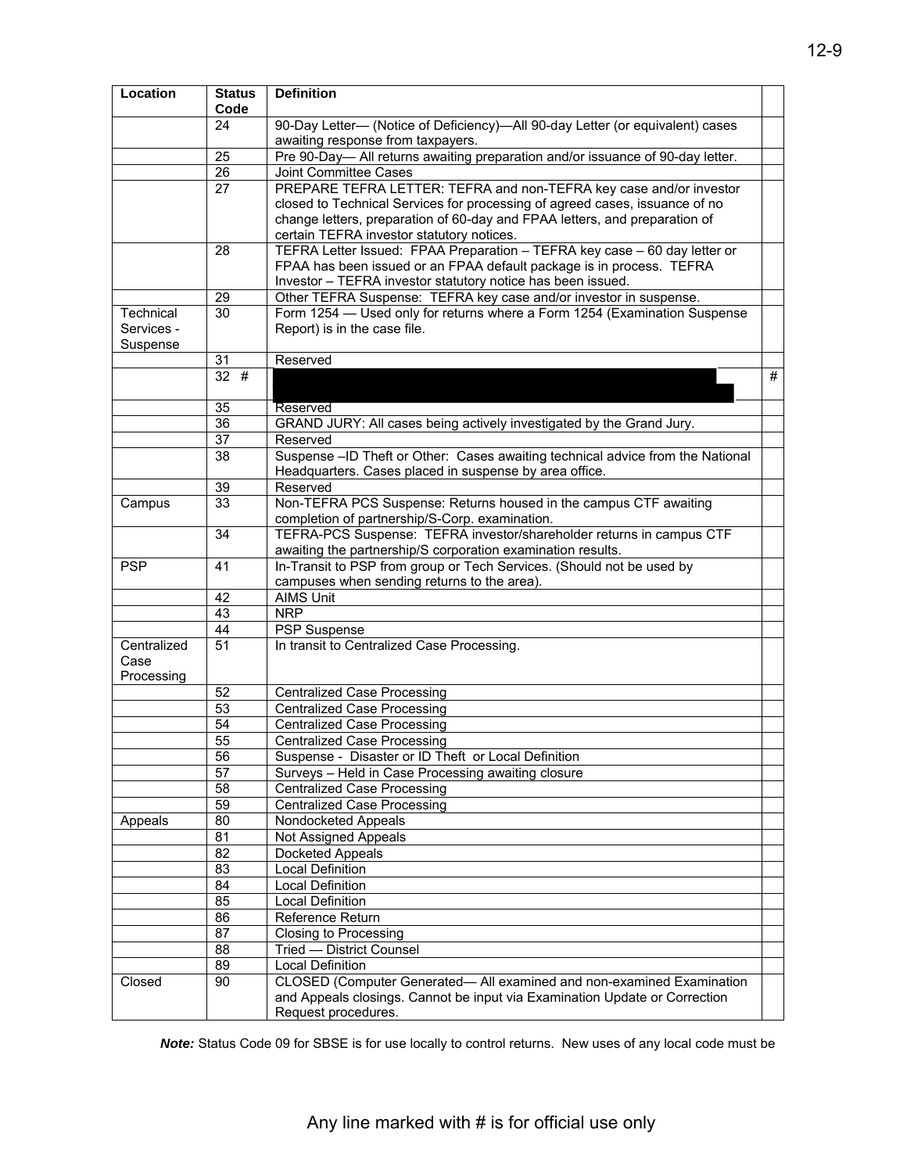| Location                          | <b>Definition</b><br><b>Status</b><br>Code |                                                                                                                                                                                                                  |   |
|-----------------------------------|--------------------------------------------|------------------------------------------------------------------------------------------------------------------------------------------------------------------------------------------------------------------|---|
|                                   | 24                                         | 90-Day Letter- (Notice of Deficiency)-All 90-day Letter (or equivalent) cases                                                                                                                                    |   |
|                                   |                                            | awaiting response from taxpayers.                                                                                                                                                                                |   |
|                                   | 25                                         | Pre 90-Day-All returns awaiting preparation and/or issuance of 90-day letter.                                                                                                                                    |   |
|                                   | 26                                         | Joint Committee Cases                                                                                                                                                                                            |   |
|                                   | 27                                         | PREPARE TEFRA LETTER: TEFRA and non-TEFRA key case and/or investor                                                                                                                                               |   |
|                                   |                                            | closed to Technical Services for processing of agreed cases, issuance of no                                                                                                                                      |   |
|                                   |                                            | change letters, preparation of 60-day and FPAA letters, and preparation of                                                                                                                                       |   |
|                                   |                                            | certain TEFRA investor statutory notices.                                                                                                                                                                        |   |
|                                   | 28                                         | TEFRA Letter Issued: FPAA Preparation - TEFRA key case - 60 day letter or<br>FPAA has been issued or an FPAA default package is in process. TEFRA<br>Investor - TEFRA investor statutory notice has been issued. |   |
|                                   | 29                                         | Other TEFRA Suspense: TEFRA key case and/or investor in suspense.                                                                                                                                                |   |
| Technical                         | 30                                         | Form 1254 - Used only for returns where a Form 1254 (Examination Suspense                                                                                                                                        |   |
| Services -                        |                                            | Report) is in the case file.                                                                                                                                                                                     |   |
| Suspense                          |                                            |                                                                                                                                                                                                                  |   |
|                                   | 31                                         | Reserved                                                                                                                                                                                                         |   |
|                                   | 32#                                        |                                                                                                                                                                                                                  | # |
|                                   | 35                                         | Reserved                                                                                                                                                                                                         |   |
|                                   | 36                                         | GRAND JURY: All cases being actively investigated by the Grand Jury.                                                                                                                                             |   |
|                                   | 37                                         | Reserved                                                                                                                                                                                                         |   |
|                                   | $\overline{38}$                            | Suspense -ID Theft or Other: Cases awaiting technical advice from the National                                                                                                                                   |   |
|                                   |                                            | Headquarters. Cases placed in suspense by area office.                                                                                                                                                           |   |
|                                   | 39                                         | Reserved                                                                                                                                                                                                         |   |
| Campus                            | 33                                         | Non-TEFRA PCS Suspense: Returns housed in the campus CTF awaiting                                                                                                                                                |   |
|                                   | 34                                         | completion of partnership/S-Corp. examination.<br>TEFRA-PCS Suspense: TEFRA investor/shareholder returns in campus CTF                                                                                           |   |
|                                   |                                            | awaiting the partnership/S corporation examination results.                                                                                                                                                      |   |
| <b>PSP</b>                        | 41                                         | In-Transit to PSP from group or Tech Services. (Should not be used by                                                                                                                                            |   |
|                                   |                                            | campuses when sending returns to the area).                                                                                                                                                                      |   |
|                                   | 42                                         | <b>AIMS Unit</b>                                                                                                                                                                                                 |   |
|                                   | 43                                         | <b>NRP</b>                                                                                                                                                                                                       |   |
|                                   | 44                                         | <b>PSP</b> Suspense                                                                                                                                                                                              |   |
| Centralized<br>Case<br>Processing | 51                                         | In transit to Centralized Case Processing.                                                                                                                                                                       |   |
|                                   | 52                                         | <b>Centralized Case Processing</b>                                                                                                                                                                               |   |
|                                   | 53                                         | <b>Centralized Case Processing</b>                                                                                                                                                                               |   |
|                                   | 54                                         | <b>Centralized Case Processing</b>                                                                                                                                                                               |   |
|                                   | $\overline{55}$                            | <b>Centralized Case Processing</b>                                                                                                                                                                               |   |
|                                   | 56                                         | Suspense - Disaster or ID Theft or Local Definition                                                                                                                                                              |   |
|                                   | 57                                         | Surveys - Held in Case Processing awaiting closure                                                                                                                                                               |   |
|                                   | 58                                         | <b>Centralized Case Processing</b>                                                                                                                                                                               |   |
|                                   | 59                                         | <b>Centralized Case Processing</b>                                                                                                                                                                               |   |
| Appeals                           | 80                                         | Nondocketed Appeals                                                                                                                                                                                              |   |
|                                   | 81                                         | Not Assigned Appeals                                                                                                                                                                                             |   |
|                                   | $\overline{82}$                            | Docketed Appeals                                                                                                                                                                                                 |   |
|                                   | 83                                         | <b>Local Definition</b>                                                                                                                                                                                          |   |
|                                   | 84                                         | Local Definition                                                                                                                                                                                                 |   |
|                                   | 85                                         | Local Definition                                                                                                                                                                                                 |   |
|                                   | 86                                         | Reference Return                                                                                                                                                                                                 |   |
|                                   | 87                                         | Closing to Processing                                                                                                                                                                                            |   |
|                                   | 88                                         | Tried - District Counsel                                                                                                                                                                                         |   |
|                                   | 89                                         | Local Definition                                                                                                                                                                                                 |   |
| Closed                            | 90                                         | CLOSED (Computer Generated- All examined and non-examined Examination<br>and Appeals closings. Cannot be input via Examination Update or Correction<br>Request procedures.                                       |   |

*Note:* Status Code 09 for SBSE is for use locally to control returns. New uses of any local code must be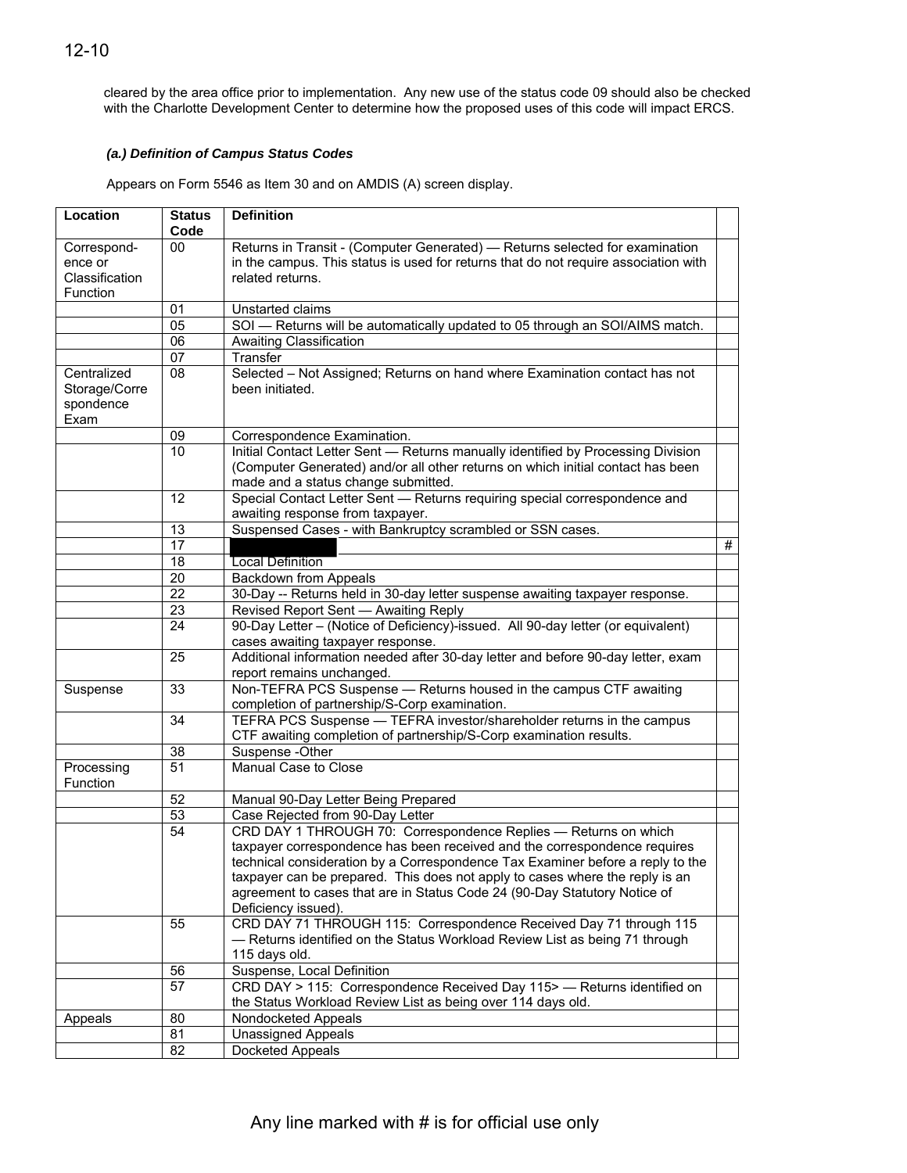cleared by the area office prior to implementation. Any new use of the status code 09 should also be checked with the Charlotte Development Center to determine how the proposed uses of this code will impact ERCS.

### *(a.) Definition of Campus Status Codes*

Appears on Form 5546 as Item 30 and on AMDIS (A) screen display.

| Location                                             | <b>Status</b><br>Code | <b>Definition</b>                                                                                                                                                                                                                                                                                                                                                                                                  |   |
|------------------------------------------------------|-----------------------|--------------------------------------------------------------------------------------------------------------------------------------------------------------------------------------------------------------------------------------------------------------------------------------------------------------------------------------------------------------------------------------------------------------------|---|
| Correspond-<br>ence or<br>Classification<br>Function | 00                    | Returns in Transit - (Computer Generated) - Returns selected for examination<br>in the campus. This status is used for returns that do not require association with<br>related returns.                                                                                                                                                                                                                            |   |
|                                                      | 01                    | Unstarted claims                                                                                                                                                                                                                                                                                                                                                                                                   |   |
|                                                      | 05                    | SOI - Returns will be automatically updated to 05 through an SOI/AIMS match.                                                                                                                                                                                                                                                                                                                                       |   |
|                                                      | $\overline{06}$       | <b>Awaiting Classification</b>                                                                                                                                                                                                                                                                                                                                                                                     |   |
|                                                      | 07                    | Transfer                                                                                                                                                                                                                                                                                                                                                                                                           |   |
| Centralized<br>Storage/Corre<br>spondence<br>Exam    | $\overline{08}$       | Selected - Not Assigned; Returns on hand where Examination contact has not<br>been initiated.                                                                                                                                                                                                                                                                                                                      |   |
|                                                      | 09                    | Correspondence Examination.                                                                                                                                                                                                                                                                                                                                                                                        |   |
|                                                      | $\overline{10}$       | Initial Contact Letter Sent - Returns manually identified by Processing Division<br>(Computer Generated) and/or all other returns on which initial contact has been<br>made and a status change submitted.                                                                                                                                                                                                         |   |
|                                                      | 12                    | Special Contact Letter Sent - Returns requiring special correspondence and<br>awaiting response from taxpayer.                                                                                                                                                                                                                                                                                                     |   |
|                                                      | 13                    | Suspensed Cases - with Bankruptcy scrambled or SSN cases.                                                                                                                                                                                                                                                                                                                                                          |   |
|                                                      | $\overline{17}$       |                                                                                                                                                                                                                                                                                                                                                                                                                    | # |
|                                                      | 18                    | <b>Local Definition</b>                                                                                                                                                                                                                                                                                                                                                                                            |   |
|                                                      | 20                    | Backdown from Appeals                                                                                                                                                                                                                                                                                                                                                                                              |   |
|                                                      | $\overline{22}$       | 30-Day -- Returns held in 30-day letter suspense awaiting taxpayer response.                                                                                                                                                                                                                                                                                                                                       |   |
|                                                      | 23                    | Revised Report Sent - Awaiting Reply                                                                                                                                                                                                                                                                                                                                                                               |   |
|                                                      | 24                    | 90-Day Letter - (Notice of Deficiency)-issued. All 90-day letter (or equivalent)<br>cases awaiting taxpayer response.                                                                                                                                                                                                                                                                                              |   |
|                                                      | 25                    | Additional information needed after 30-day letter and before 90-day letter, exam<br>report remains unchanged.                                                                                                                                                                                                                                                                                                      |   |
| Suspense                                             | 33                    | Non-TEFRA PCS Suspense - Returns housed in the campus CTF awaiting<br>completion of partnership/S-Corp examination.                                                                                                                                                                                                                                                                                                |   |
|                                                      | 34                    | TEFRA PCS Suspense — TEFRA investor/shareholder returns in the campus<br>CTF awaiting completion of partnership/S-Corp examination results.                                                                                                                                                                                                                                                                        |   |
|                                                      | 38                    | Suspense -Other                                                                                                                                                                                                                                                                                                                                                                                                    |   |
| Processing<br>Function                               | 51                    | Manual Case to Close                                                                                                                                                                                                                                                                                                                                                                                               |   |
|                                                      | 52                    | Manual 90-Day Letter Being Prepared                                                                                                                                                                                                                                                                                                                                                                                |   |
|                                                      | 53                    | Case Rejected from 90-Day Letter                                                                                                                                                                                                                                                                                                                                                                                   |   |
|                                                      | $\overline{54}$       | CRD DAY 1 THROUGH 70: Correspondence Replies - Returns on which<br>taxpayer correspondence has been received and the correspondence requires<br>technical consideration by a Correspondence Tax Examiner before a reply to the<br>taxpayer can be prepared. This does not apply to cases where the reply is an<br>agreement to cases that are in Status Code 24 (90-Day Statutory Notice of<br>Deficiency issued). |   |
|                                                      | 55                    | CRD DAY 71 THROUGH 115: Correspondence Received Day 71 through 115<br>- Returns identified on the Status Workload Review List as being 71 through<br>115 days old.                                                                                                                                                                                                                                                 |   |
|                                                      | 56                    | Suspense, Local Definition                                                                                                                                                                                                                                                                                                                                                                                         |   |
|                                                      | 57                    | CRD DAY > 115: Correspondence Received Day 115> - Returns identified on                                                                                                                                                                                                                                                                                                                                            |   |
|                                                      |                       | the Status Workload Review List as being over 114 days old.                                                                                                                                                                                                                                                                                                                                                        |   |
| Appeals                                              | 80                    | Nondocketed Appeals                                                                                                                                                                                                                                                                                                                                                                                                |   |
|                                                      | 81                    | <b>Unassigned Appeals</b>                                                                                                                                                                                                                                                                                                                                                                                          |   |
|                                                      | 82                    | Docketed Appeals                                                                                                                                                                                                                                                                                                                                                                                                   |   |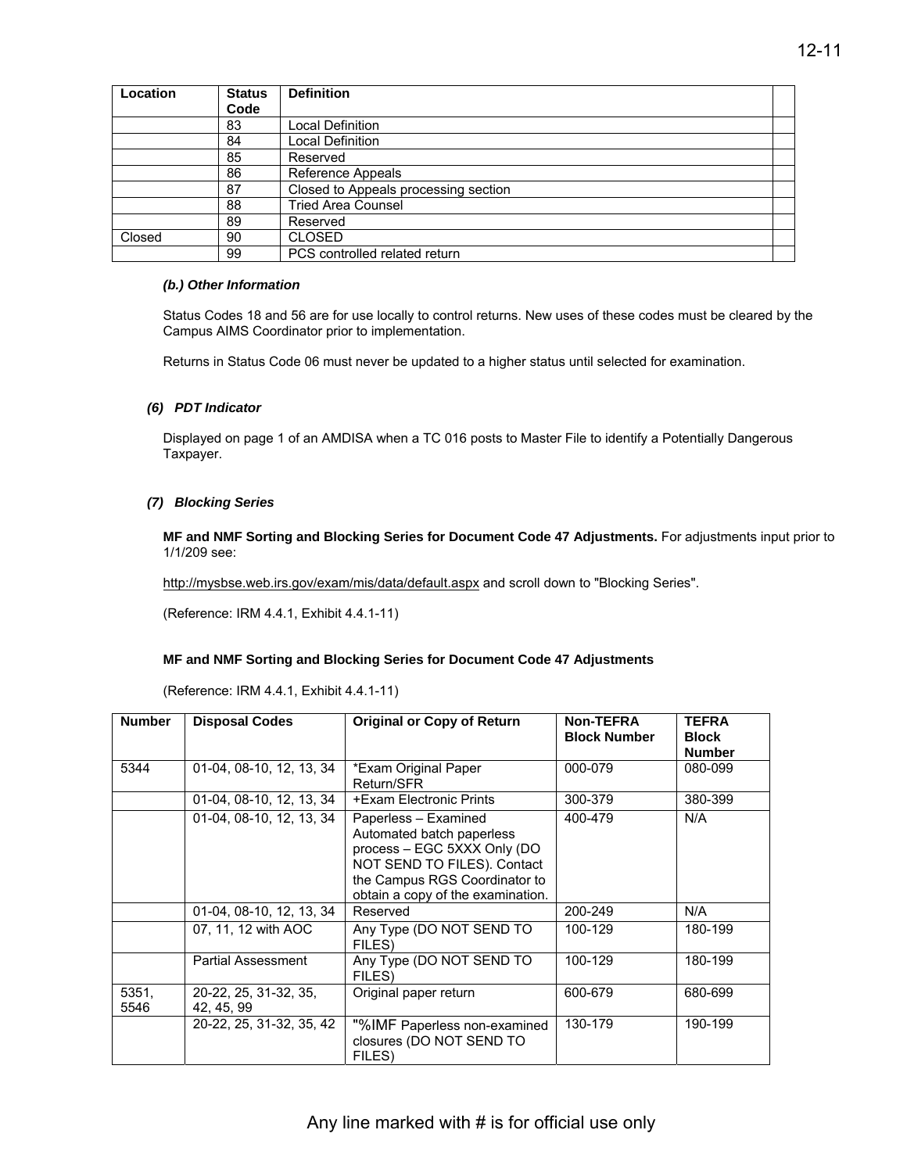| Location | <b>Status</b> | <b>Definition</b>                    |  |
|----------|---------------|--------------------------------------|--|
|          | Code          |                                      |  |
|          | 83            | <b>Local Definition</b>              |  |
|          | 84            | <b>Local Definition</b>              |  |
|          | 85            | Reserved                             |  |
|          | 86            | Reference Appeals                    |  |
|          | 87            | Closed to Appeals processing section |  |
|          | 88            | <b>Tried Area Counsel</b>            |  |
|          | 89            | Reserved                             |  |
| Closed   | 90            | <b>CLOSED</b>                        |  |
|          | 99            | PCS controlled related return        |  |

#### *(b.) Other Information*

Status Codes 18 and 56 are for use locally to control returns. New uses of these codes must be cleared by the Campus AIMS Coordinator prior to implementation.

Returns in Status Code 06 must never be updated to a higher status until selected for examination.

#### *(6) PDT Indicator*

Displayed on page 1 of an AMDISA when a TC 016 posts to Master File to identify a Potentially Dangerous Taxpayer.

#### *(7) Blocking Series*

**MF and NMF Sorting and Blocking Series for Document Code 47 Adjustments.** For adjustments input prior to 1/1/209 see:

[http://mysbse.web.irs.gov/exam/mis/data/default.aspx an](http://mysbse.web.irs.gov/exam/mis/data/default.aspx)d scroll down to "Blocking Series".

(Reference: IRM 4.4.1, Exhibit 4.4.1-11)

#### **MF and NMF Sorting and Blocking Series for Document Code 47 Adjustments**

(Reference: IRM 4.4.1, Exhibit 4.4.1-11)

| <b>Number</b> | <b>Disposal Codes</b>               | <b>Original or Copy of Return</b>                                                                                                                                                     | Non-TEFRA<br><b>Block Number</b> | <b>TEFRA</b><br><b>Block</b><br><b>Number</b> |
|---------------|-------------------------------------|---------------------------------------------------------------------------------------------------------------------------------------------------------------------------------------|----------------------------------|-----------------------------------------------|
| 5344          | 01-04, 08-10, 12, 13, 34            | *Exam Original Paper<br>Return/SFR                                                                                                                                                    | 000-079                          | 080-099                                       |
|               | 01-04, 08-10, 12, 13, 34            | +Exam Electronic Prints                                                                                                                                                               | 300-379                          | 380-399                                       |
|               | 01-04, 08-10, 12, 13, 34            | Paperless - Examined<br>Automated batch paperless<br>process - EGC 5XXX Only (DO<br>NOT SEND TO FILES). Contact<br>the Campus RGS Coordinator to<br>obtain a copy of the examination. | 400-479                          | N/A                                           |
|               | 01-04, 08-10, 12, 13, 34            | Reserved                                                                                                                                                                              | 200-249                          | N/A                                           |
|               | 07, 11, 12 with AOC                 | Any Type (DO NOT SEND TO<br>FILES)                                                                                                                                                    | 100-129                          | 180-199                                       |
|               | Partial Assessment                  | Any Type (DO NOT SEND TO<br>FILES)                                                                                                                                                    | 100-129                          | 180-199                                       |
| 5351,<br>5546 | 20-22, 25, 31-32, 35,<br>42, 45, 99 | Original paper return                                                                                                                                                                 | 600-679                          | 680-699                                       |
|               | 20-22, 25, 31-32, 35, 42            | "%IMF Paperless non-examined<br>closures (DO NOT SEND TO<br>FILES)                                                                                                                    | 130-179                          | 190-199                                       |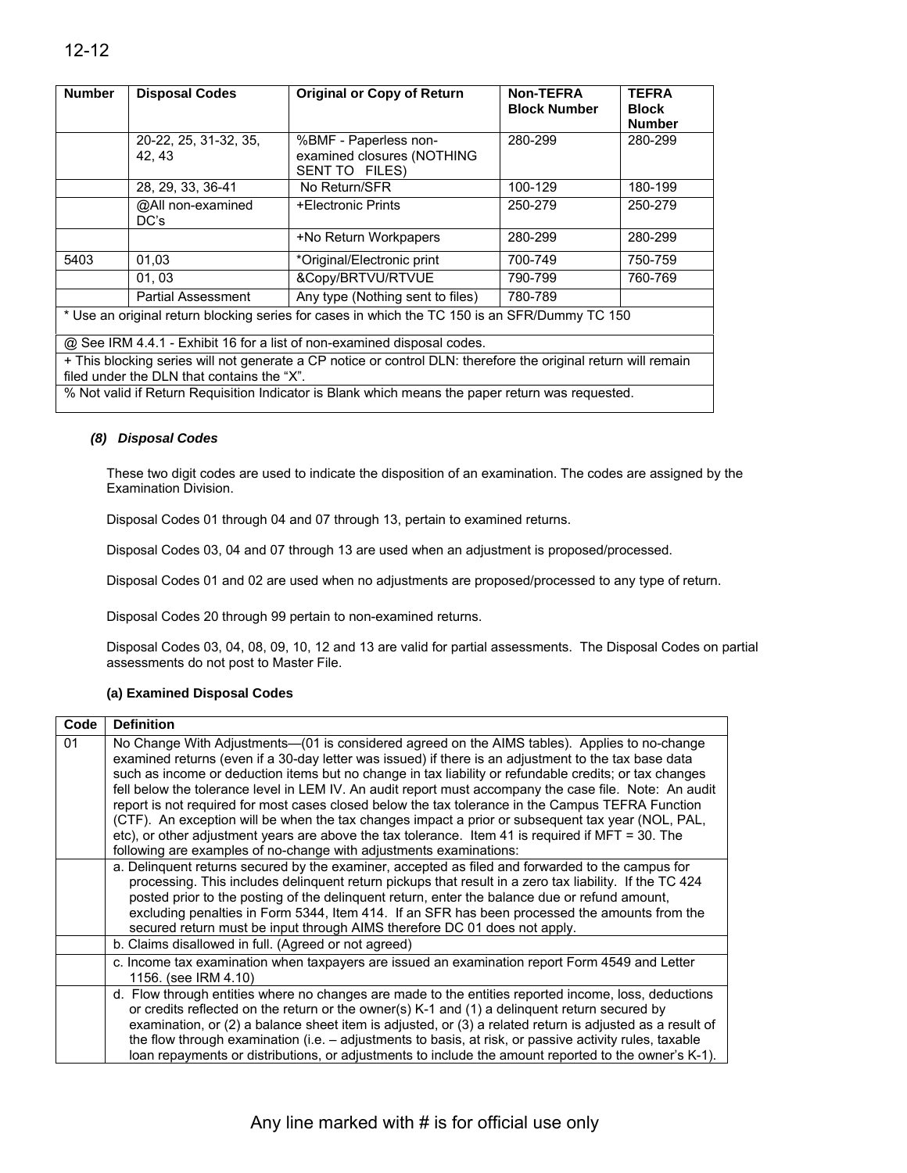| <b>Number</b>                                                                                 | <b>Disposal Codes</b>                                                                            | <b>Original or Copy of Return</b>                                                                              | <b>Non-TEFRA</b><br><b>Block Number</b> | <b>TEFRA</b><br><b>Block</b><br><b>Number</b> |
|-----------------------------------------------------------------------------------------------|--------------------------------------------------------------------------------------------------|----------------------------------------------------------------------------------------------------------------|-----------------------------------------|-----------------------------------------------|
|                                                                                               | 20-22, 25, 31-32, 35,<br>42.43                                                                   | %BMF - Paperless non-<br>examined closures (NOTHING<br>SENT TO FILES)                                          | 280-299                                 | 280-299                                       |
|                                                                                               | 28, 29, 33, 36-41                                                                                | No Return/SFR                                                                                                  | 100-129                                 | 180-199                                       |
|                                                                                               | @All non-examined<br>DC's                                                                        | +Electronic Prints                                                                                             | 250-279                                 | 250-279                                       |
|                                                                                               |                                                                                                  | +No Return Workpapers                                                                                          | 280-299                                 | 280-299                                       |
| 5403                                                                                          | 01.03                                                                                            | *Original/Electronic print                                                                                     | 700-749                                 | 750-759                                       |
|                                                                                               | 01.03                                                                                            | &Copy/BRTVU/RTVUE                                                                                              | 790-799                                 | 760-769                                       |
|                                                                                               | <b>Partial Assessment</b>                                                                        | Any type (Nothing sent to files)                                                                               | 780-789                                 |                                               |
| * Use an original return blocking series for cases in which the TC 150 is an SFR/Dummy TC 150 |                                                                                                  |                                                                                                                |                                         |                                               |
| @ See IRM 4.4.1 - Exhibit 16 for a list of non-examined disposal codes.                       |                                                                                                  |                                                                                                                |                                         |                                               |
|                                                                                               | filed under the DLN that contains the "X".                                                       | + This blocking series will not generate a CP notice or control DLN: therefore the original return will remain |                                         |                                               |
|                                                                                               | % Not valid if Return Requisition Indicator is Blank which means the paper return was requested. |                                                                                                                |                                         |                                               |

#### *(8) Disposal Codes*

These two digit codes are used to indicate the disposition of an examination. The codes are assigned by the Examination Division.

Disposal Codes 01 through 04 and 07 through 13, pertain to examined returns.

Disposal Codes 03, 04 and 07 through 13 are used when an adjustment is proposed/processed.

Disposal Codes 01 and 02 are used when no adjustments are proposed/processed to any type of return.

Disposal Codes 20 through 99 pertain to non-examined returns.

Disposal Codes 03, 04, 08, 09, 10, 12 and 13 are valid for partial assessments. The Disposal Codes on partial assessments do not post to Master File.

#### **(a) Examined Disposal Codes**

| Code | <b>Definition</b>                                                                                                                                                                                                                                                                                                                                                                                                                                                                                                                                                                                                                                                                                                                                                                                                 |
|------|-------------------------------------------------------------------------------------------------------------------------------------------------------------------------------------------------------------------------------------------------------------------------------------------------------------------------------------------------------------------------------------------------------------------------------------------------------------------------------------------------------------------------------------------------------------------------------------------------------------------------------------------------------------------------------------------------------------------------------------------------------------------------------------------------------------------|
| 01   | No Change With Adjustments—(01 is considered agreed on the AIMS tables). Applies to no-change<br>examined returns (even if a 30-day letter was issued) if there is an adjustment to the tax base data<br>such as income or deduction items but no change in tax liability or refundable credits; or tax changes<br>fell below the tolerance level in LEM IV. An audit report must accompany the case file. Note: An audit<br>report is not required for most cases closed below the tax tolerance in the Campus TEFRA Function<br>(CTF). An exception will be when the tax changes impact a prior or subsequent tax year (NOL, PAL,<br>etc), or other adjustment years are above the tax tolerance. Item 41 is required if $MFT = 30$ . The<br>following are examples of no-change with adjustments examinations: |
|      | a. Delinquent returns secured by the examiner, accepted as filed and forwarded to the campus for<br>processing. This includes delinguent return pickups that result in a zero tax liability. If the TC 424<br>posted prior to the posting of the delinquent return, enter the balance due or refund amount,<br>excluding penalties in Form 5344, Item 414. If an SFR has been processed the amounts from the<br>secured return must be input through AIMS therefore DC 01 does not apply.                                                                                                                                                                                                                                                                                                                         |
|      | b. Claims disallowed in full. (Agreed or not agreed)                                                                                                                                                                                                                                                                                                                                                                                                                                                                                                                                                                                                                                                                                                                                                              |
|      | c. Income tax examination when taxpayers are issued an examination report Form 4549 and Letter<br>1156. (see IRM 4.10)                                                                                                                                                                                                                                                                                                                                                                                                                                                                                                                                                                                                                                                                                            |
|      | d. Flow through entities where no changes are made to the entities reported income, loss, deductions<br>or credits reflected on the return or the owner(s) K-1 and (1) a delinquent return secured by<br>examination, or (2) a balance sheet item is adjusted, or (3) a related return is adjusted as a result of<br>the flow through examination (i.e. - adjustments to basis, at risk, or passive activity rules, taxable<br>loan repayments or distributions, or adjustments to include the amount reported to the owner's K-1).                                                                                                                                                                                                                                                                               |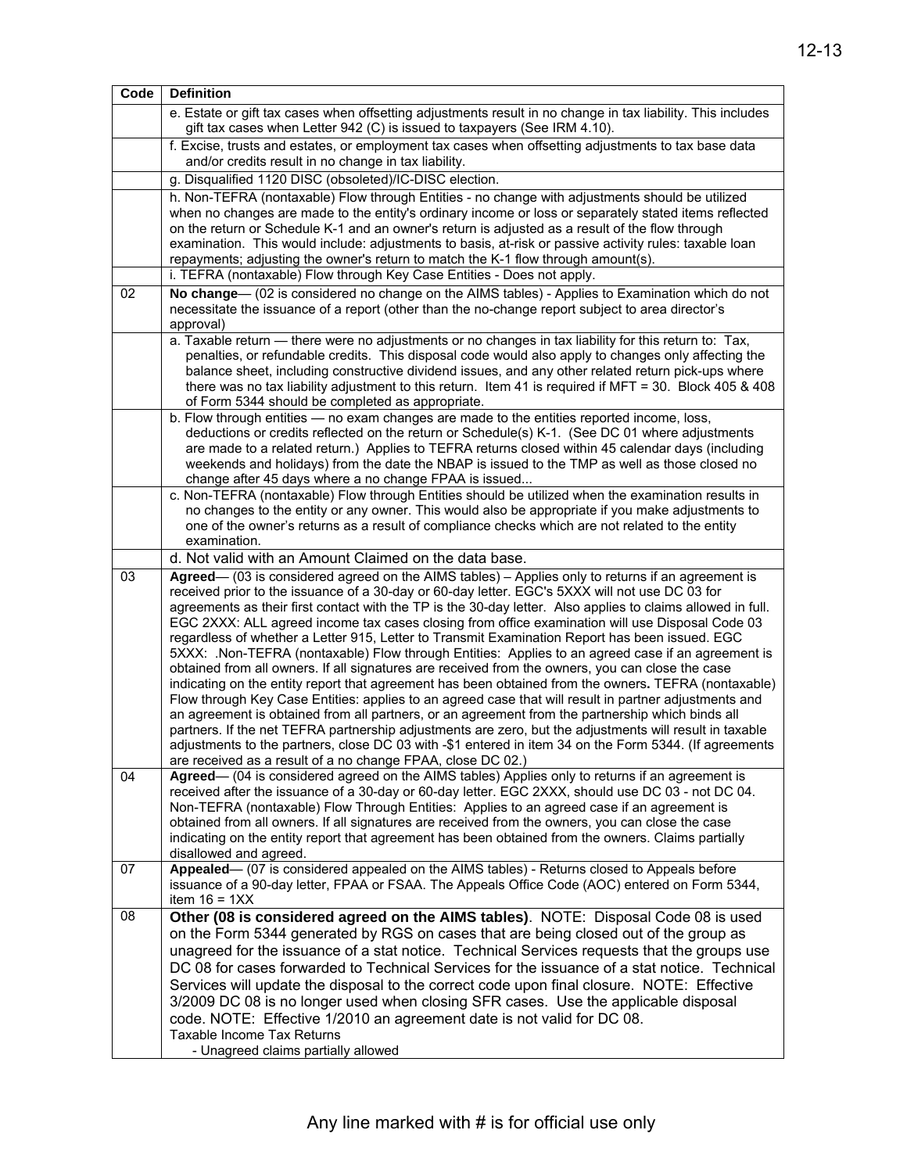| Code | <b>Definition</b>                                                                                                                                                                                              |
|------|----------------------------------------------------------------------------------------------------------------------------------------------------------------------------------------------------------------|
|      | e. Estate or gift tax cases when offsetting adjustments result in no change in tax liability. This includes<br>gift tax cases when Letter 942 (C) is issued to taxpayers (See IRM 4.10).                       |
|      | f. Excise, trusts and estates, or employment tax cases when offsetting adjustments to tax base data<br>and/or credits result in no change in tax liability.                                                    |
|      | g. Disqualified 1120 DISC (obsoleted)/IC-DISC election.                                                                                                                                                        |
|      | h. Non-TEFRA (nontaxable) Flow through Entities - no change with adjustments should be utilized                                                                                                                |
|      | when no changes are made to the entity's ordinary income or loss or separately stated items reflected                                                                                                          |
|      | on the return or Schedule K-1 and an owner's return is adjusted as a result of the flow through                                                                                                                |
|      | examination. This would include: adjustments to basis, at-risk or passive activity rules: taxable loan<br>repayments; adjusting the owner's return to match the K-1 flow through amount(s).                    |
|      | i. TEFRA (nontaxable) Flow through Key Case Entities - Does not apply.                                                                                                                                         |
| 02   | No change— (02 is considered no change on the AIMS tables) - Applies to Examination which do not                                                                                                               |
|      | necessitate the issuance of a report (other than the no-change report subject to area director's                                                                                                               |
|      | approval)                                                                                                                                                                                                      |
|      | a. Taxable return - there were no adjustments or no changes in tax liability for this return to: Tax,<br>penalties, or refundable credits. This disposal code would also apply to changes only affecting the   |
|      | balance sheet, including constructive dividend issues, and any other related return pick-ups where                                                                                                             |
|      | there was no tax liability adjustment to this return. Item 41 is required if MFT = 30. Block 405 & 408                                                                                                         |
|      | of Form 5344 should be completed as appropriate.                                                                                                                                                               |
|      | b. Flow through entities — no exam changes are made to the entities reported income, loss,                                                                                                                     |
|      | deductions or credits reflected on the return or Schedule(s) K-1. (See DC 01 where adjustments<br>are made to a related return.) Applies to TEFRA returns closed within 45 calendar days (including            |
|      | weekends and holidays) from the date the NBAP is issued to the TMP as well as those closed no                                                                                                                  |
|      | change after 45 days where a no change FPAA is issued                                                                                                                                                          |
|      | c. Non-TEFRA (nontaxable) Flow through Entities should be utilized when the examination results in                                                                                                             |
|      | no changes to the entity or any owner. This would also be appropriate if you make adjustments to<br>one of the owner's returns as a result of compliance checks which are not related to the entity            |
|      | examination.                                                                                                                                                                                                   |
|      | d. Not valid with an Amount Claimed on the data base.                                                                                                                                                          |
| 03   | Agreed— (03 is considered agreed on the AIMS tables) - Applies only to returns if an agreement is                                                                                                              |
|      | received prior to the issuance of a 30-day or 60-day letter. EGC's 5XXX will not use DC 03 for                                                                                                                 |
|      | agreements as their first contact with the TP is the 30-day letter. Also applies to claims allowed in full.<br>EGC 2XXX: ALL agreed income tax cases closing from office examination will use Disposal Code 03 |
|      | regardless of whether a Letter 915, Letter to Transmit Examination Report has been issued. EGC                                                                                                                 |
|      | 5XXX: .Non-TEFRA (nontaxable) Flow through Entities: Applies to an agreed case if an agreement is                                                                                                              |
|      | obtained from all owners. If all signatures are received from the owners, you can close the case                                                                                                               |
|      | indicating on the entity report that agreement has been obtained from the owners. TEFRA (nontaxable)<br>Flow through Key Case Entities: applies to an agreed case that will result in partner adjustments and  |
|      | an agreement is obtained from all partners, or an agreement from the partnership which binds all                                                                                                               |
|      | partners. If the net TEFRA partnership adjustments are zero, but the adjustments will result in taxable                                                                                                        |
|      | adjustments to the partners, close DC 03 with -\$1 entered in item 34 on the Form 5344. (If agreements                                                                                                         |
|      | are received as a result of a no change FPAA, close DC 02.)                                                                                                                                                    |
| 04   | Agreed— (04 is considered agreed on the AIMS tables) Applies only to returns if an agreement is<br>received after the issuance of a 30-day or 60-day letter. EGC 2XXX, should use DC 03 - not DC 04.           |
|      | Non-TEFRA (nontaxable) Flow Through Entities: Applies to an agreed case if an agreement is                                                                                                                     |
|      | obtained from all owners. If all signatures are received from the owners, you can close the case                                                                                                               |
|      | indicating on the entity report that agreement has been obtained from the owners. Claims partially                                                                                                             |
| 07   | disallowed and agreed.<br>Appealed— (07 is considered appealed on the AIMS tables) - Returns closed to Appeals before                                                                                          |
|      | issuance of a 90-day letter, FPAA or FSAA. The Appeals Office Code (AOC) entered on Form 5344,                                                                                                                 |
|      | item $16 = 1XX$                                                                                                                                                                                                |
| 08   | Other (08 is considered agreed on the AIMS tables). NOTE: Disposal Code 08 is used                                                                                                                             |
|      | on the Form 5344 generated by RGS on cases that are being closed out of the group as                                                                                                                           |
|      | unagreed for the issuance of a stat notice. Technical Services requests that the groups use                                                                                                                    |
|      | DC 08 for cases forwarded to Technical Services for the issuance of a stat notice. Technical                                                                                                                   |
|      | Services will update the disposal to the correct code upon final closure. NOTE: Effective                                                                                                                      |
|      | 3/2009 DC 08 is no longer used when closing SFR cases. Use the applicable disposal<br>code. NOTE: Effective 1/2010 an agreement date is not valid for DC 08.                                                   |
|      | Taxable Income Tax Returns                                                                                                                                                                                     |
|      | - Unagreed claims partially allowed                                                                                                                                                                            |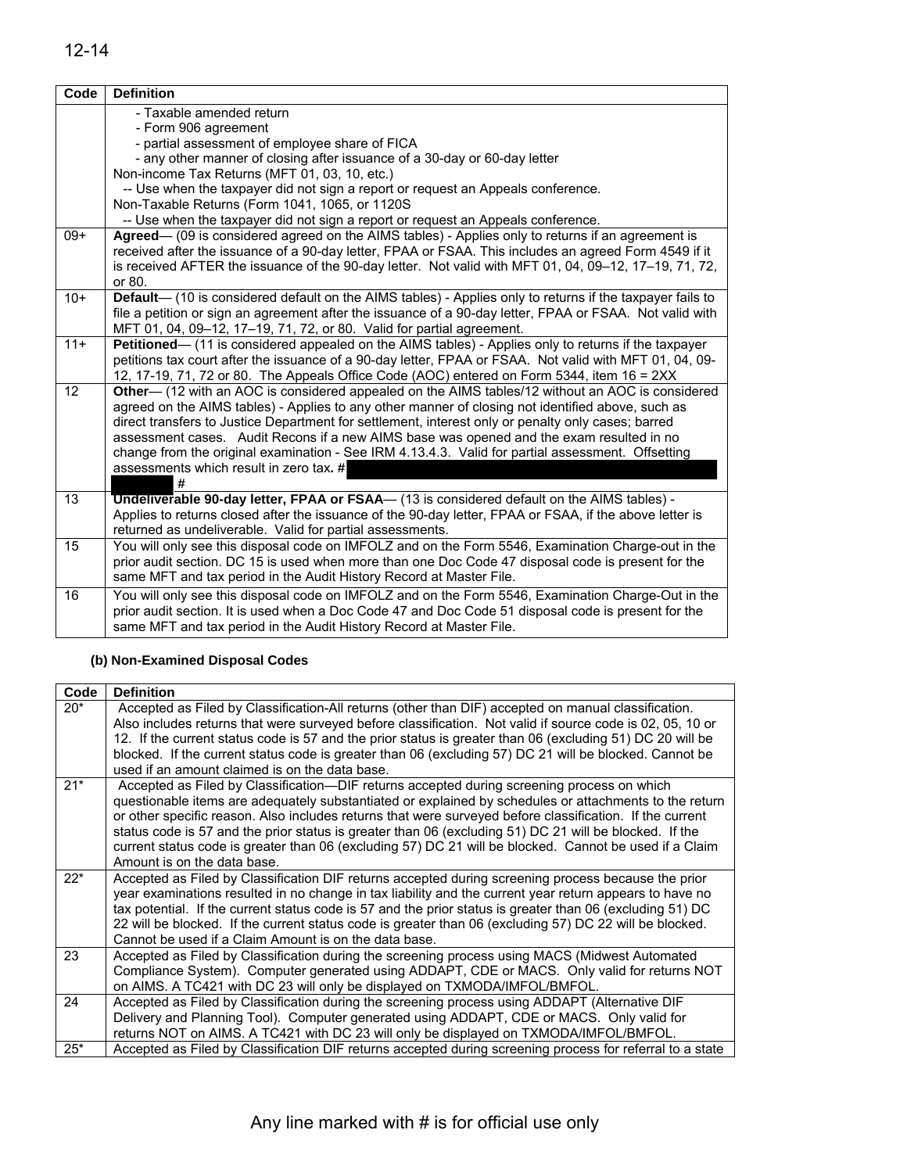| Code  | <b>Definition</b>                                                                                                                                                                                                                                                                                                                                                                                                                                                                                                                                            |
|-------|--------------------------------------------------------------------------------------------------------------------------------------------------------------------------------------------------------------------------------------------------------------------------------------------------------------------------------------------------------------------------------------------------------------------------------------------------------------------------------------------------------------------------------------------------------------|
|       | - Taxable amended return<br>- Form 906 agreement<br>- partial assessment of employee share of FICA                                                                                                                                                                                                                                                                                                                                                                                                                                                           |
|       | - any other manner of closing after issuance of a 30-day or 60-day letter<br>Non-income Tax Returns (MFT 01, 03, 10, etc.)                                                                                                                                                                                                                                                                                                                                                                                                                                   |
|       | -- Use when the taxpayer did not sign a report or request an Appeals conference.<br>Non-Taxable Returns (Form 1041, 1065, or 1120S)<br>-- Use when the taxpayer did not sign a report or request an Appeals conference.                                                                                                                                                                                                                                                                                                                                      |
| $09+$ | Agreed— (09 is considered agreed on the AIMS tables) - Applies only to returns if an agreement is<br>received after the issuance of a 90-day letter, FPAA or FSAA. This includes an agreed Form 4549 if it<br>is received AFTER the issuance of the 90-day letter. Not valid with MFT 01, 04, 09-12, 17-19, 71, 72,<br>or 80.                                                                                                                                                                                                                                |
| $10+$ | Default-(10 is considered default on the AIMS tables) - Applies only to returns if the taxpayer fails to<br>file a petition or sign an agreement after the issuance of a 90-day letter, FPAA or FSAA. Not valid with<br>MFT 01, 04, 09-12, 17-19, 71, 72, or 80. Valid for partial agreement.                                                                                                                                                                                                                                                                |
| $11+$ | Petitioned— (11 is considered appealed on the AIMS tables) - Applies only to returns if the taxpayer<br>petitions tax court after the issuance of a 90-day letter, FPAA or FSAA. Not valid with MFT 01, 04, 09-<br>12, 17-19, 71, 72 or 80. The Appeals Office Code (AOC) entered on Form 5344, item 16 = 2XX                                                                                                                                                                                                                                                |
| 12    | Other— (12 with an AOC is considered appealed on the AIMS tables/12 without an AOC is considered<br>agreed on the AIMS tables) - Applies to any other manner of closing not identified above, such as<br>direct transfers to Justice Department for settlement, interest only or penalty only cases; barred<br>assessment cases. Audit Recons if a new AIMS base was opened and the exam resulted in no<br>change from the original examination - See IRM 4.13.4.3. Valid for partial assessment. Offsetting<br>assessments which result in zero tax. #<br># |
| 13    | <b>Undeliverable 90-day letter, FPAA or FSAA</b> — (13 is considered default on the AIMS tables) -<br>Applies to returns closed after the issuance of the 90-day letter, FPAA or FSAA, if the above letter is<br>returned as undeliverable. Valid for partial assessments.                                                                                                                                                                                                                                                                                   |
| 15    | You will only see this disposal code on IMFOLZ and on the Form 5546, Examination Charge-out in the<br>prior audit section. DC 15 is used when more than one Doc Code 47 disposal code is present for the<br>same MFT and tax period in the Audit History Record at Master File.                                                                                                                                                                                                                                                                              |
| 16    | You will only see this disposal code on IMFOLZ and on the Form 5546, Examination Charge-Out in the<br>prior audit section. It is used when a Doc Code 47 and Doc Code 51 disposal code is present for the<br>same MFT and tax period in the Audit History Record at Master File.                                                                                                                                                                                                                                                                             |

## **(b) Non-Examined Disposal Codes**

| Code  | <b>Definition</b>                                                                                                                                                                                                                                                                                                                                                                                                                                                                                                                                                   |
|-------|---------------------------------------------------------------------------------------------------------------------------------------------------------------------------------------------------------------------------------------------------------------------------------------------------------------------------------------------------------------------------------------------------------------------------------------------------------------------------------------------------------------------------------------------------------------------|
| $20*$ | Accepted as Filed by Classification-All returns (other than DIF) accepted on manual classification.<br>Also includes returns that were surveyed before classification. Not valid if source code is 02, 05, 10 or<br>12. If the current status code is 57 and the prior status is greater than 06 (excluding 51) DC 20 will be<br>blocked. If the current status code is greater than 06 (excluding 57) DC 21 will be blocked. Cannot be<br>used if an amount claimed is on the data base.                                                                           |
| $21*$ | Accepted as Filed by Classification—DIF returns accepted during screening process on which<br>questionable items are adequately substantiated or explained by schedules or attachments to the return<br>or other specific reason. Also includes returns that were surveyed before classification. If the current<br>status code is 57 and the prior status is greater than 06 (excluding 51) DC 21 will be blocked. If the<br>current status code is greater than 06 (excluding 57) DC 21 will be blocked. Cannot be used if a Claim<br>Amount is on the data base. |
| $22*$ | Accepted as Filed by Classification DIF returns accepted during screening process because the prior<br>year examinations resulted in no change in tax liability and the current year return appears to have no<br>tax potential. If the current status code is 57 and the prior status is greater than 06 (excluding 51) DC<br>22 will be blocked. If the current status code is greater than 06 (excluding 57) DC 22 will be blocked.<br>Cannot be used if a Claim Amount is on the data base.                                                                     |
| 23    | Accepted as Filed by Classification during the screening process using MACS (Midwest Automated<br>Compliance System). Computer generated using ADDAPT, CDE or MACS. Only valid for returns NOT<br>on AIMS. A TC421 with DC 23 will only be displayed on TXMODA/IMFOL/BMFOL.                                                                                                                                                                                                                                                                                         |
| 24    | Accepted as Filed by Classification during the screening process using ADDAPT (Alternative DIF<br>Delivery and Planning Tool). Computer generated using ADDAPT, CDE or MACS. Only valid for<br>returns NOT on AIMS. A TC421 with DC 23 will only be displayed on TXMODA/IMFOL/BMFOL.                                                                                                                                                                                                                                                                                |
| $25*$ | Accepted as Filed by Classification DIF returns accepted during screening process for referral to a state                                                                                                                                                                                                                                                                                                                                                                                                                                                           |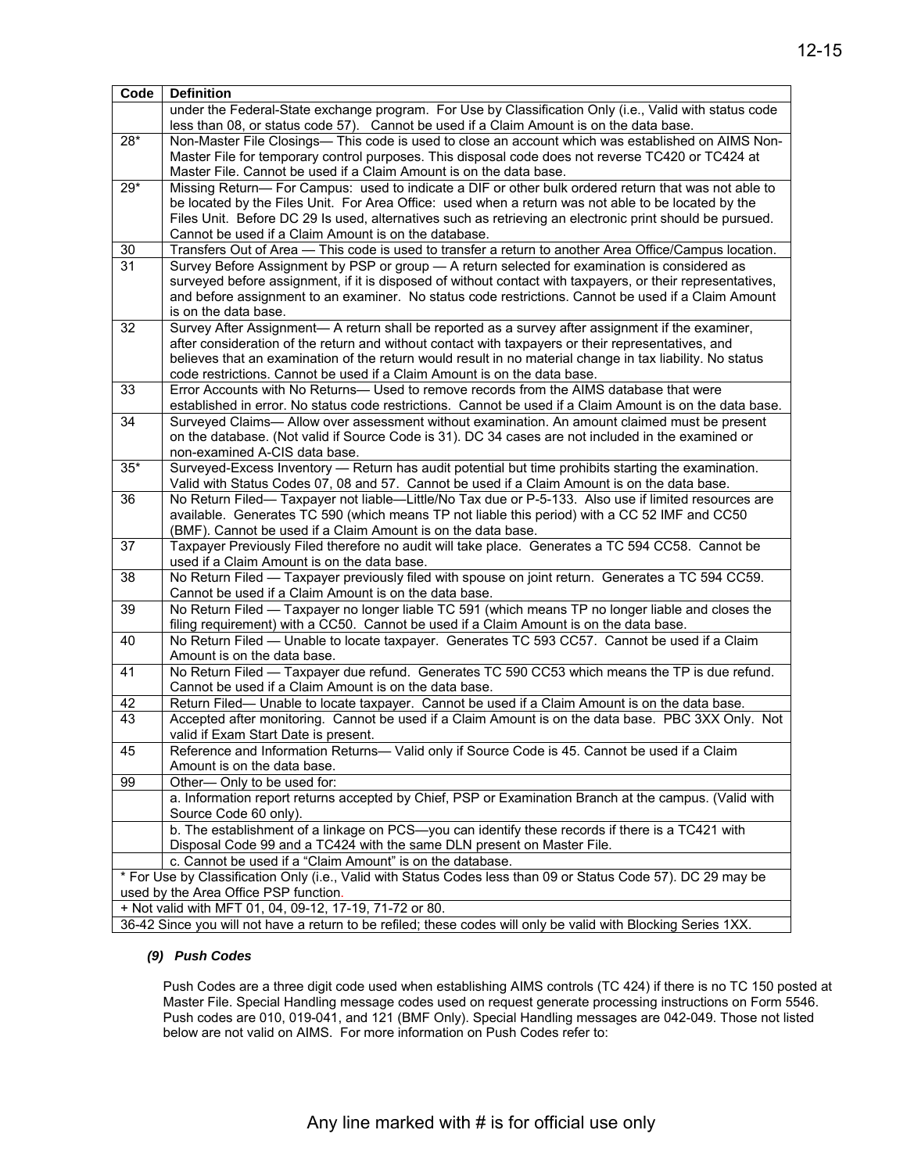| Code                                  | <b>Definition</b>                                                                                                                                                |  |  |  |
|---------------------------------------|------------------------------------------------------------------------------------------------------------------------------------------------------------------|--|--|--|
|                                       | under the Federal-State exchange program. For Use by Classification Only (i.e., Valid with status code                                                           |  |  |  |
|                                       | less than 08, or status code 57). Cannot be used if a Claim Amount is on the data base.                                                                          |  |  |  |
| $28*$                                 | Non-Master File Closings— This code is used to close an account which was established on AIMS Non-                                                               |  |  |  |
|                                       | Master File for temporary control purposes. This disposal code does not reverse TC420 or TC424 at                                                                |  |  |  |
|                                       | Master File. Cannot be used if a Claim Amount is on the data base.                                                                                               |  |  |  |
| $29*$                                 | Missing Return— For Campus: used to indicate a DIF or other bulk ordered return that was not able to                                                             |  |  |  |
|                                       | be located by the Files Unit. For Area Office: used when a return was not able to be located by the                                                              |  |  |  |
|                                       | Files Unit. Before DC 29 Is used, alternatives such as retrieving an electronic print should be pursued.                                                         |  |  |  |
|                                       | Cannot be used if a Claim Amount is on the database.                                                                                                             |  |  |  |
| 30                                    | Transfers Out of Area - This code is used to transfer a return to another Area Office/Campus location.                                                           |  |  |  |
| $\overline{31}$                       | Survey Before Assignment by PSP or group - A return selected for examination is considered as                                                                    |  |  |  |
|                                       | surveyed before assignment, if it is disposed of without contact with taxpayers, or their representatives,                                                       |  |  |  |
|                                       | and before assignment to an examiner. No status code restrictions. Cannot be used if a Claim Amount<br>is on the data base.                                      |  |  |  |
| 32                                    | Survey After Assignment— A return shall be reported as a survey after assignment if the examiner,                                                                |  |  |  |
|                                       | after consideration of the return and without contact with taxpayers or their representatives, and                                                               |  |  |  |
|                                       | believes that an examination of the return would result in no material change in tax liability. No status                                                        |  |  |  |
|                                       | code restrictions. Cannot be used if a Claim Amount is on the data base.                                                                                         |  |  |  |
| 33                                    | Error Accounts with No Returns- Used to remove records from the AIMS database that were                                                                          |  |  |  |
|                                       | established in error. No status code restrictions. Cannot be used if a Claim Amount is on the data base.                                                         |  |  |  |
| 34                                    | Surveyed Claims— Allow over assessment without examination. An amount claimed must be present                                                                    |  |  |  |
|                                       | on the database. (Not valid if Source Code is 31). DC 34 cases are not included in the examined or                                                               |  |  |  |
|                                       | non-examined A-CIS data base.                                                                                                                                    |  |  |  |
| $35*$                                 | Surveyed-Excess Inventory - Return has audit potential but time prohibits starting the examination.                                                              |  |  |  |
|                                       | Valid with Status Codes 07, 08 and 57. Cannot be used if a Claim Amount is on the data base.                                                                     |  |  |  |
| 36                                    | No Return Filed— Taxpayer not liable—Little/No Tax due or P-5-133. Also use if limited resources are                                                             |  |  |  |
|                                       | available. Generates TC 590 (which means TP not liable this period) with a CC 52 IMF and CC50                                                                    |  |  |  |
| 37                                    | (BMF). Cannot be used if a Claim Amount is on the data base.<br>Taxpayer Previously Filed therefore no audit will take place. Generates a TC 594 CC58. Cannot be |  |  |  |
|                                       | used if a Claim Amount is on the data base.                                                                                                                      |  |  |  |
| 38                                    | No Return Filed - Taxpayer previously filed with spouse on joint return. Generates a TC 594 CC59.                                                                |  |  |  |
|                                       | Cannot be used if a Claim Amount is on the data base.                                                                                                            |  |  |  |
| 39                                    | No Return Filed - Taxpayer no longer liable TC 591 (which means TP no longer liable and closes the                                                               |  |  |  |
|                                       | filing requirement) with a CC50. Cannot be used if a Claim Amount is on the data base.                                                                           |  |  |  |
| 40                                    | No Return Filed — Unable to locate taxpayer. Generates TC 593 CC57. Cannot be used if a Claim                                                                    |  |  |  |
|                                       | Amount is on the data base.                                                                                                                                      |  |  |  |
| 41                                    | No Return Filed - Taxpayer due refund. Generates TC 590 CC53 which means the TP is due refund.                                                                   |  |  |  |
|                                       | Cannot be used if a Claim Amount is on the data base.                                                                                                            |  |  |  |
| 42                                    | Return Filed— Unable to locate taxpayer. Cannot be used if a Claim Amount is on the data base.                                                                   |  |  |  |
| 43                                    | Accepted after monitoring. Cannot be used if a Claim Amount is on the data base. PBC 3XX Only. Not                                                               |  |  |  |
|                                       | valid if Exam Start Date is present.                                                                                                                             |  |  |  |
| 45                                    | Reference and Information Returns- Valid only if Source Code is 45. Cannot be used if a Claim                                                                    |  |  |  |
| 99                                    | Amount is on the data base.<br>Other-Only to be used for:                                                                                                        |  |  |  |
|                                       | a. Information report returns accepted by Chief, PSP or Examination Branch at the campus. (Valid with                                                            |  |  |  |
|                                       | Source Code 60 only).                                                                                                                                            |  |  |  |
|                                       | b. The establishment of a linkage on PCS-you can identify these records if there is a TC421 with                                                                 |  |  |  |
|                                       | Disposal Code 99 and a TC424 with the same DLN present on Master File.                                                                                           |  |  |  |
|                                       | c. Cannot be used if a "Claim Amount" is on the database.                                                                                                        |  |  |  |
|                                       | * For Use by Classification Only (i.e., Valid with Status Codes less than 09 or Status Code 57). DC 29 may be                                                    |  |  |  |
| used by the Area Office PSP function. |                                                                                                                                                                  |  |  |  |
|                                       | + Not valid with MFT 01, 04, 09-12, 17-19, 71-72 or 80.                                                                                                          |  |  |  |
|                                       | 36-42 Since you will not have a return to be refiled; these codes will only be valid with Blocking Series 1XX.                                                   |  |  |  |

#### *(9) Push Codes*

Push Codes are a three digit code used when establishing AIMS controls (TC 424) if there is no TC 150 posted at Master File. Special Handling message codes used on request generate processing instructions on Form 5546. Push codes are 010, 019-041, and 121 (BMF Only). Special Handling messages are 042-049. Those not listed below are not valid on AIMS. For more information on Push Codes refer to: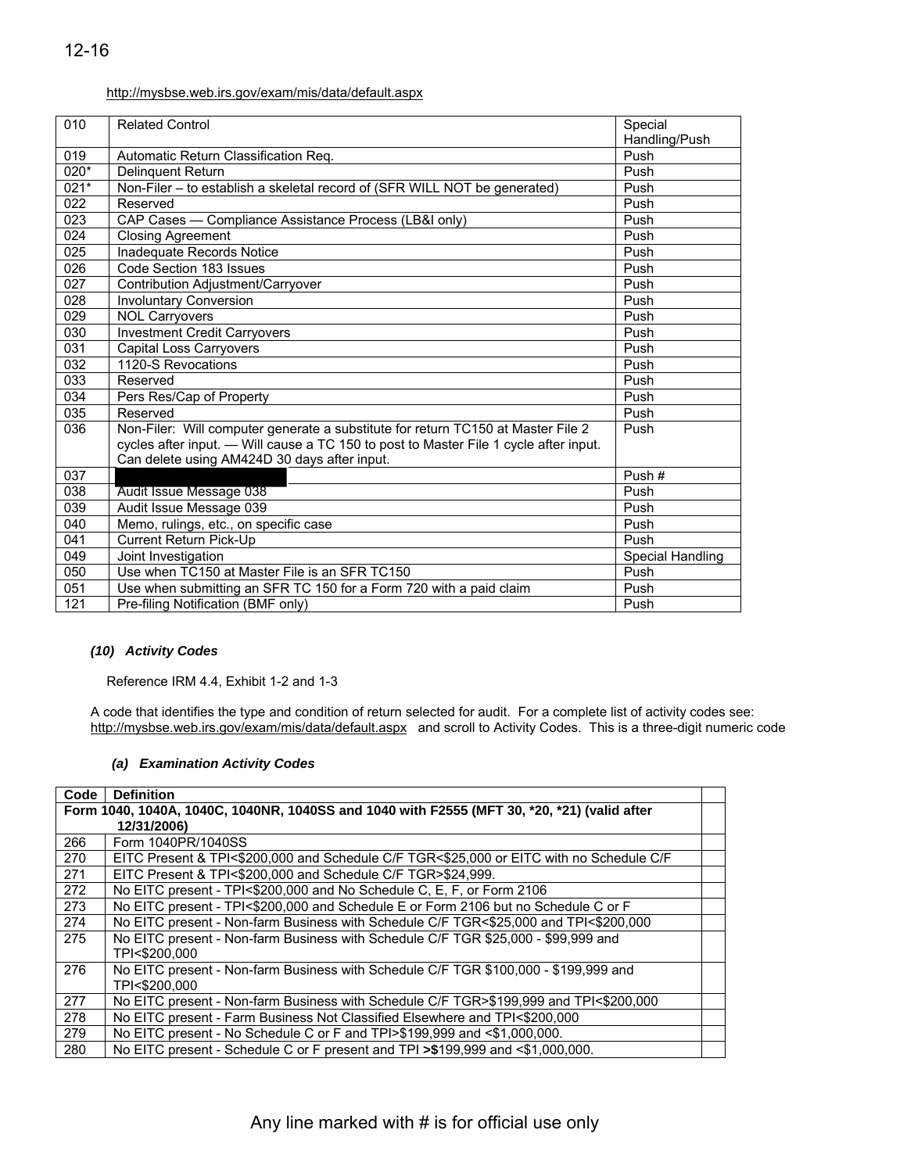#### <http://mysbse.web.irs.gov/exam/mis/data/default.aspx>

|                  | http://mysbse.web.irs.gov/exam/mis/data/default.aspx                                                                                                                                                                      |                          |
|------------------|---------------------------------------------------------------------------------------------------------------------------------------------------------------------------------------------------------------------------|--------------------------|
| 010              | <b>Related Control</b>                                                                                                                                                                                                    | Special<br>Handling/Push |
| 019              | Automatic Return Classification Req.                                                                                                                                                                                      | Push                     |
| 020*             | Delinquent Return                                                                                                                                                                                                         | Push                     |
| $021*$           | Non-Filer - to establish a skeletal record of (SFR WILL NOT be generated)                                                                                                                                                 | Push                     |
| 022              | Reserved                                                                                                                                                                                                                  | Push                     |
| 023              | CAP Cases - Compliance Assistance Process (LB&I only)                                                                                                                                                                     | Push                     |
| 024              | <b>Closing Agreement</b>                                                                                                                                                                                                  | Push                     |
| 025              | Inadequate Records Notice                                                                                                                                                                                                 | Push                     |
| 026              | Code Section 183 Issues                                                                                                                                                                                                   | Push                     |
| 027              | Contribution Adjustment/Carryover                                                                                                                                                                                         | Push                     |
| 028              | <b>Involuntary Conversion</b>                                                                                                                                                                                             | Push                     |
| 029              | <b>NOL Carryovers</b>                                                                                                                                                                                                     | Push                     |
| 030              | <b>Investment Credit Carryovers</b>                                                                                                                                                                                       | Push                     |
| 031              | <b>Capital Loss Carryovers</b>                                                                                                                                                                                            | Push                     |
| 032              | 1120-S Revocations                                                                                                                                                                                                        | Push                     |
| 033              | Reserved                                                                                                                                                                                                                  | Push                     |
| 034              | Pers Res/Cap of Property                                                                                                                                                                                                  | Push                     |
| $\overline{035}$ | Reserved                                                                                                                                                                                                                  | Push                     |
| 036              | Non-Filer: Will computer generate a substitute for return TC150 at Master File 2<br>cycles after input. — Will cause a TC 150 to post to Master File 1 cycle after input.<br>Can delete using AM424D 30 days after input. | Push                     |
| 037              |                                                                                                                                                                                                                           | Push#                    |
| 038              | Audit Issue Message 038                                                                                                                                                                                                   | Push                     |
| 039              | Audit Issue Message 039                                                                                                                                                                                                   | Push                     |
| 040              | Memo, rulings, etc., on specific case                                                                                                                                                                                     | Push                     |
| 041              | <b>Current Return Pick-Up</b>                                                                                                                                                                                             | Push                     |
| 049              | Joint Investigation                                                                                                                                                                                                       | Special Handling         |
| 050              | Use when TC150 at Master File is an SFR TC150                                                                                                                                                                             | Push                     |
| 051              | Use when submitting an SFR TC 150 for a Form 720 with a paid claim                                                                                                                                                        | Push                     |
| 121              | Pre-filing Notification (BMF only)                                                                                                                                                                                        | Push                     |

#### *(10) Activity Codes*

Reference IRM 4.4, Exhibit 1-2 and 1-3

A code that identifies the type and condition of return selected for audit. For a complete list of activity codes see: [http://mysbse.web.irs.gov/exam/mis/data/default.aspx a](http://mysbse.web.irs.gov/exam/mis/data/default.aspx)nd scroll to Activity Codes. This is a three-digit numeric code

#### *(a) Examination Activity Codes*

| Code | <b>Definition</b>                                                                           |  |  |  |  |
|------|---------------------------------------------------------------------------------------------|--|--|--|--|
|      | Form 1040, 1040A, 1040C, 1040NR, 1040SS and 1040 with F2555 (MFT 30, *20, *21) (valid after |  |  |  |  |
|      | 12/31/2006)                                                                                 |  |  |  |  |
| 266  | Form 1040PR/1040SS                                                                          |  |  |  |  |
| 270  | EITC Present & TPI<\$200,000 and Schedule C/F TGR<\$25,000 or EITC with no Schedule C/F     |  |  |  |  |
| 271  | EITC Present & TPI<\$200,000 and Schedule C/F TGR>\$24,999.                                 |  |  |  |  |
| 272  | No EITC present - TPI<\$200,000 and No Schedule C, E, F, or Form 2106                       |  |  |  |  |
| 273  | No EITC present - TPI<\$200,000 and Schedule E or Form 2106 but no Schedule C or F          |  |  |  |  |
| 274  | No EITC present - Non-farm Business with Schedule C/F TGR<\$25,000 and TPI<\$200,000        |  |  |  |  |
| 275  | No EITC present - Non-farm Business with Schedule C/F TGR \$25,000 - \$99,999 and           |  |  |  |  |
|      | TPI<\$200.000                                                                               |  |  |  |  |
| 276  | No EITC present - Non-farm Business with Schedule C/F TGR \$100,000 - \$199,999 and         |  |  |  |  |
|      | TPI<\$200.000                                                                               |  |  |  |  |
| 277  | No EITC present - Non-farm Business with Schedule C/F TGR>\$199,999 and TPI<\$200,000       |  |  |  |  |
| 278  | No EITC present - Farm Business Not Classified Elsewhere and TPI<\$200,000                  |  |  |  |  |
| 279  | No EITC present - No Schedule C or F and TPI>\$199,999 and <\$1,000,000.                    |  |  |  |  |
| 280  | No EITC present - Schedule C or F present and TPI > \$199,999 and < \$1,000,000.            |  |  |  |  |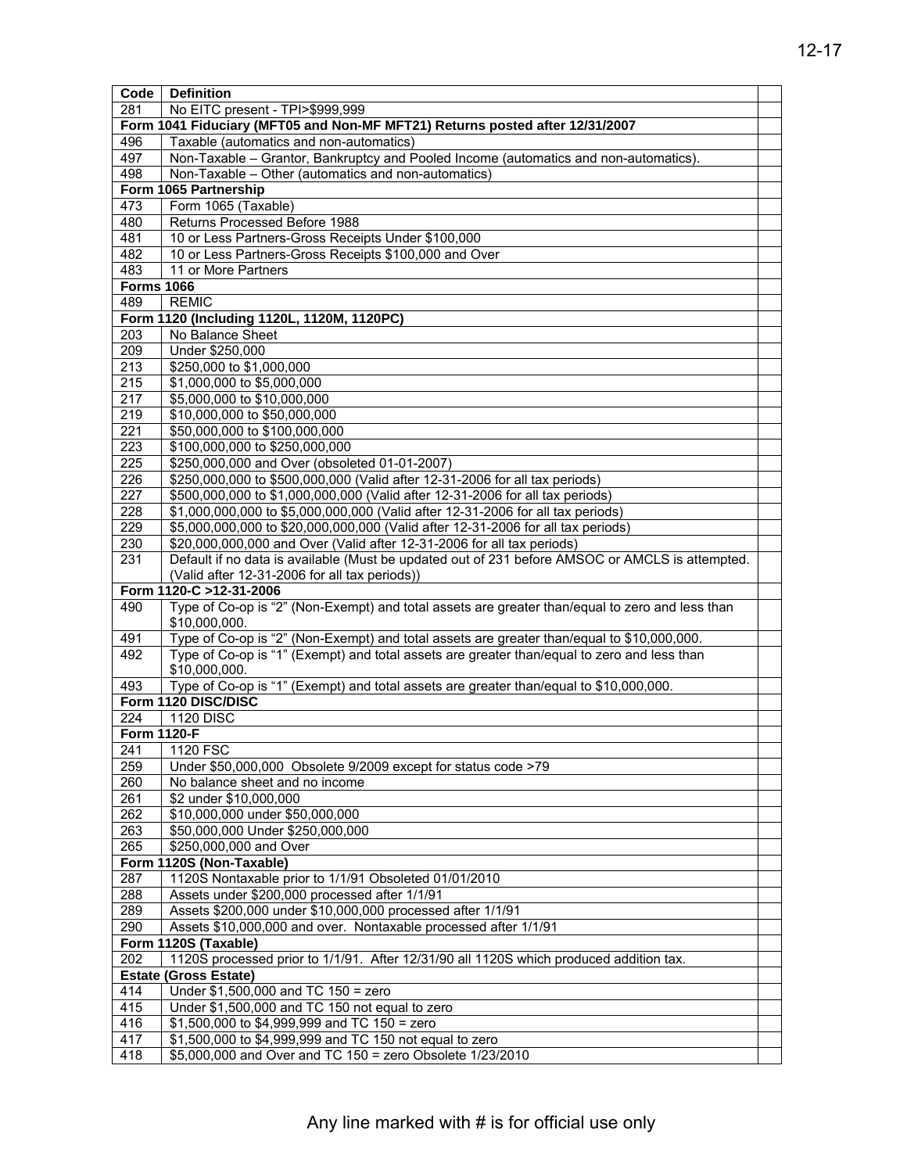| <b>Code</b>       | <b>Definition</b>                                                                               |  |  |  |  |  |
|-------------------|-------------------------------------------------------------------------------------------------|--|--|--|--|--|
| 281               | No EITC present - TPI>\$999,999                                                                 |  |  |  |  |  |
|                   | Form 1041 Fiduciary (MFT05 and Non-MF MFT21) Returns posted after 12/31/2007                    |  |  |  |  |  |
| 496               | Taxable (automatics and non-automatics)                                                         |  |  |  |  |  |
| 497               | Non-Taxable - Grantor, Bankruptcy and Pooled Income (automatics and non-automatics).            |  |  |  |  |  |
| 498               | Non-Taxable - Other (automatics and non-automatics)                                             |  |  |  |  |  |
|                   | Form 1065 Partnership                                                                           |  |  |  |  |  |
| 473               | Form 1065 (Taxable)                                                                             |  |  |  |  |  |
| 480               | Returns Processed Before 1988                                                                   |  |  |  |  |  |
| 481               | 10 or Less Partners-Gross Receipts Under \$100,000                                              |  |  |  |  |  |
| 482               | 10 or Less Partners-Gross Receipts \$100,000 and Over                                           |  |  |  |  |  |
| 483               | 11 or More Partners                                                                             |  |  |  |  |  |
| <b>Forms 1066</b> |                                                                                                 |  |  |  |  |  |
| 489               | <b>REMIC</b>                                                                                    |  |  |  |  |  |
|                   | Form 1120 (Including 1120L, 1120M, 1120PC)                                                      |  |  |  |  |  |
| 203               | No Balance Sheet                                                                                |  |  |  |  |  |
| $\overline{209}$  | Under \$250,000                                                                                 |  |  |  |  |  |
| 213               | \$250,000 to \$1,000,000                                                                        |  |  |  |  |  |
| $\overline{215}$  | \$1,000,000 to \$5,000,000                                                                      |  |  |  |  |  |
| 217               | \$5,000,000 to \$10,000,000                                                                     |  |  |  |  |  |
| 219               | \$10,000,000 to \$50,000,000                                                                    |  |  |  |  |  |
| $\overline{221}$  |                                                                                                 |  |  |  |  |  |
|                   | \$50,000,000 to \$100,000,000                                                                   |  |  |  |  |  |
| 223               | \$100,000,000 to \$250,000,000                                                                  |  |  |  |  |  |
| 225               | \$250,000,000 and Over (obsoleted 01-01-2007)                                                   |  |  |  |  |  |
| 226               | \$250,000,000 to \$500,000,000 (Valid after 12-31-2006 for all tax periods)                     |  |  |  |  |  |
| 227               | \$500,000,000 to \$1,000,000,000 (Valid after 12-31-2006 for all tax periods)                   |  |  |  |  |  |
| 228               | \$1,000,000,000 to \$5,000,000,000 (Valid after 12-31-2006 for all tax periods)                 |  |  |  |  |  |
| 229               | \$5,000,000,000 to \$20,000,000,000 (Valid after 12-31-2006 for all tax periods)                |  |  |  |  |  |
| 230               | \$20,000,000,000 and Over (Valid after 12-31-2006 for all tax periods)                          |  |  |  |  |  |
| 231               | Default if no data is available (Must be updated out of 231 before AMSOC or AMCLS is attempted. |  |  |  |  |  |
|                   | (Valid after 12-31-2006 for all tax periods))                                                   |  |  |  |  |  |
|                   | Form 1120-C >12-31-2006                                                                         |  |  |  |  |  |
| 490               | Type of Co-op is "2" (Non-Exempt) and total assets are greater than/equal to zero and less than |  |  |  |  |  |
|                   | \$10,000,000.                                                                                   |  |  |  |  |  |
| 491               | Type of Co-op is "2" (Non-Exempt) and total assets are greater than/equal to \$10,000,000.      |  |  |  |  |  |
| 492               | Type of Co-op is "1" (Exempt) and total assets are greater than/equal to zero and less than     |  |  |  |  |  |
|                   | \$10,000,000.                                                                                   |  |  |  |  |  |
| 493               | Type of Co-op is "1" (Exempt) and total assets are greater than/equal to \$10,000,000.          |  |  |  |  |  |
|                   | Form 1120 DISC/DISC                                                                             |  |  |  |  |  |
| 224               | <b>1120 DISC</b>                                                                                |  |  |  |  |  |
|                   | <b>Form 1120-F</b>                                                                              |  |  |  |  |  |
| 241               | 1120 FSC                                                                                        |  |  |  |  |  |
| 259               | Under \$50,000,000 Obsolete 9/2009 except for status code >79                                   |  |  |  |  |  |
| 260               | No balance sheet and no income                                                                  |  |  |  |  |  |
| 261               | \$2 under \$10,000,000                                                                          |  |  |  |  |  |
| 262               | \$10,000,000 under \$50,000,000                                                                 |  |  |  |  |  |
| 263               | \$50,000,000 Under \$250,000,000                                                                |  |  |  |  |  |
| 265               | \$250,000,000 and Over                                                                          |  |  |  |  |  |
|                   | Form 1120S (Non-Taxable)                                                                        |  |  |  |  |  |
| 287               | 1120S Nontaxable prior to 1/1/91 Obsoleted 01/01/2010                                           |  |  |  |  |  |
| 288               | Assets under \$200,000 processed after 1/1/91                                                   |  |  |  |  |  |
| 289               | Assets \$200,000 under \$10,000,000 processed after 1/1/91                                      |  |  |  |  |  |
| 290               | Assets \$10,000,000 and over. Nontaxable processed after 1/1/91                                 |  |  |  |  |  |
|                   | Form 1120S (Taxable)                                                                            |  |  |  |  |  |
| 202               | 1120S processed prior to 1/1/91. After 12/31/90 all 1120S which produced addition tax.          |  |  |  |  |  |
|                   | <b>Estate (Gross Estate)</b>                                                                    |  |  |  |  |  |
| 414               | Under \$1,500,000 and TC 150 = zero                                                             |  |  |  |  |  |
| 415               | Under \$1,500,000 and TC 150 not equal to zero                                                  |  |  |  |  |  |
| 416               | $$1,500,000$ to $$4,999,999$ and TC 150 = zero                                                  |  |  |  |  |  |
| 417               | \$1,500,000 to \$4,999,999 and TC 150 not equal to zero                                         |  |  |  |  |  |
| 418               | \$5,000,000 and Over and TC 150 = zero Obsolete 1/23/2010                                       |  |  |  |  |  |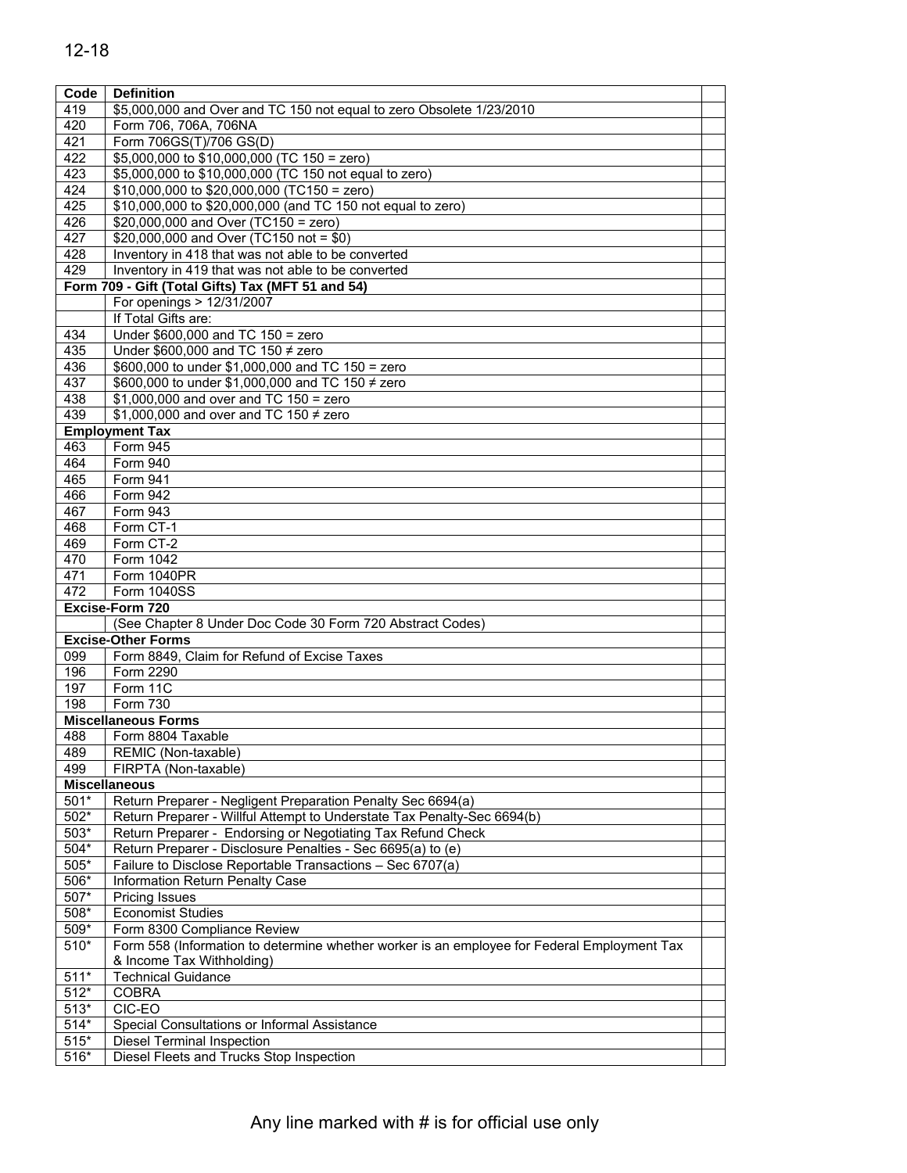| Code         | <b>Definition</b>                                                                           |  |
|--------------|---------------------------------------------------------------------------------------------|--|
| 419          | \$5,000,000 and Over and TC 150 not equal to zero Obsolete 1/23/2010                        |  |
| 420          | Form 706, 706A, 706NA                                                                       |  |
| 421          | Form 706GS(T)/706 GS(D)                                                                     |  |
| 422          | \$5,000,000 to \$10,000,000 (TC 150 = zero)                                                 |  |
| 423          | \$5,000,000 to \$10,000,000 (TC 150 not equal to zero)                                      |  |
| 424          | \$10,000,000 to \$20,000,000 (TC150 = zero)                                                 |  |
| 425          | \$10,000,000 to \$20,000,000 (and TC 150 not equal to zero)                                 |  |
| 426          | \$20,000,000 and Over (TC150 = zero)                                                        |  |
| 427          | \$20,000,000 and Over (TC150 not = \$0)                                                     |  |
| 428          | Inventory in 418 that was not able to be converted                                          |  |
| 429          | Inventory in 419 that was not able to be converted                                          |  |
|              | Form 709 - Gift (Total Gifts) Tax (MFT 51 and 54)                                           |  |
|              | For openings > 12/31/2007                                                                   |  |
|              | If Total Gifts are:                                                                         |  |
| 434          | Under $$600,000$ and TC $150 =$ zero                                                        |  |
| 435          | Under \$600,000 and TC 150 $\neq$ zero                                                      |  |
| 436          | \$600,000 to under \$1,000,000 and TC 150 = zero                                            |  |
| 437          | \$600,000 to under \$1,000,000 and TC 150 ≠ zero                                            |  |
| 438          | \$1,000,000 and over and TC $150 =$ zero                                                    |  |
| 439          | \$1,000,000 and over and TC 150 $\neq$ zero                                                 |  |
|              | <b>Employment Tax</b><br>Form 945                                                           |  |
| 463<br>464   | Form 940                                                                                    |  |
| 465          | Form 941                                                                                    |  |
| 466          | <b>Form 942</b>                                                                             |  |
| 467          | Form 943                                                                                    |  |
| 468          | Form CT-1                                                                                   |  |
| 469          | Form CT-2                                                                                   |  |
| 470          | Form 1042                                                                                   |  |
| 471          | Form 1040PR                                                                                 |  |
| 472          | Form 1040SS                                                                                 |  |
|              | Excise-Form 720                                                                             |  |
|              | (See Chapter 8 Under Doc Code 30 Form 720 Abstract Codes)                                   |  |
|              | <b>Excise-Other Forms</b>                                                                   |  |
| 099          | Form 8849, Claim for Refund of Excise Taxes                                                 |  |
| 196          | Form 2290                                                                                   |  |
| 197          | Form 11C                                                                                    |  |
| 198          | Form 730                                                                                    |  |
|              | <b>Miscellaneous Forms</b>                                                                  |  |
| 488          | Form 8804 Taxable                                                                           |  |
| 489          | REMIC (Non-taxable)                                                                         |  |
| 499          | FIRPTA (Non-taxable)                                                                        |  |
|              | <b>Miscellaneous</b>                                                                        |  |
| $501*$       | Return Preparer - Negligent Preparation Penalty Sec 6694(a)                                 |  |
| 502*         | Return Preparer - Willful Attempt to Understate Tax Penalty-Sec 6694(b)                     |  |
| $503*$       | Return Preparer - Endorsing or Negotiating Tax Refund Check                                 |  |
| 504*         | Return Preparer - Disclosure Penalties - Sec 6695(a) to (e)                                 |  |
| $505*$       | Failure to Disclose Reportable Transactions - Sec 6707(a)                                   |  |
| 506*<br>507* | Information Return Penalty Case<br><b>Pricing Issues</b>                                    |  |
|              | <b>Economist Studies</b>                                                                    |  |
| 508*<br>509* | Form 8300 Compliance Review                                                                 |  |
| 510*         | Form 558 (Information to determine whether worker is an employee for Federal Employment Tax |  |
|              | & Income Tax Withholding)                                                                   |  |
| $511*$       | <b>Technical Guidance</b>                                                                   |  |
| $512*$       | <b>COBRA</b>                                                                                |  |
| $513*$       | CIC-EO                                                                                      |  |
| $514*$       | Special Consultations or Informal Assistance                                                |  |
| $515*$       | <b>Diesel Terminal Inspection</b>                                                           |  |
| $516*$       | Diesel Fleets and Trucks Stop Inspection                                                    |  |
|              |                                                                                             |  |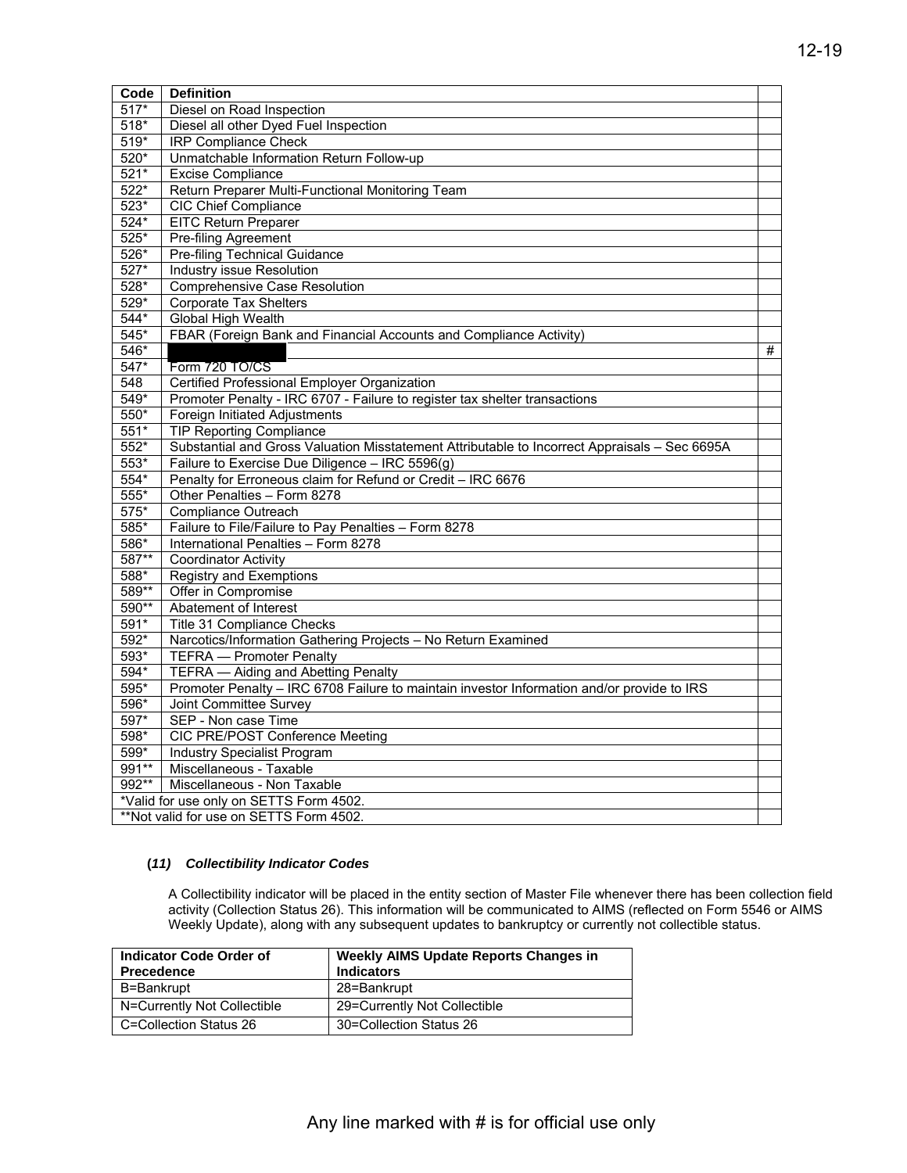| Code    | <b>Definition</b>                                                                             |   |  |  |  |  |  |
|---------|-----------------------------------------------------------------------------------------------|---|--|--|--|--|--|
| $517*$  | Diesel on Road Inspection                                                                     |   |  |  |  |  |  |
| $518*$  | Diesel all other Dyed Fuel Inspection                                                         |   |  |  |  |  |  |
| $519*$  | <b>IRP Compliance Check</b>                                                                   |   |  |  |  |  |  |
| $520*$  | Unmatchable Information Return Follow-up                                                      |   |  |  |  |  |  |
| 521*    | <b>Excise Compliance</b>                                                                      |   |  |  |  |  |  |
| 522*    | Return Preparer Multi-Functional Monitoring Team                                              |   |  |  |  |  |  |
| $523*$  | <b>CIC Chief Compliance</b>                                                                   |   |  |  |  |  |  |
| 524*    | <b>EITC Return Preparer</b>                                                                   |   |  |  |  |  |  |
| $525*$  | <b>Pre-filing Agreement</b>                                                                   |   |  |  |  |  |  |
| $526*$  | <b>Pre-filing Technical Guidance</b>                                                          |   |  |  |  |  |  |
| 527*    | Industry issue Resolution                                                                     |   |  |  |  |  |  |
| $528*$  | <b>Comprehensive Case Resolution</b>                                                          |   |  |  |  |  |  |
| $529*$  | <b>Corporate Tax Shelters</b>                                                                 |   |  |  |  |  |  |
| 544*    | Global High Wealth                                                                            |   |  |  |  |  |  |
| $545*$  | FBAR (Foreign Bank and Financial Accounts and Compliance Activity)                            |   |  |  |  |  |  |
| 546*    |                                                                                               | # |  |  |  |  |  |
| $547*$  | Form 720 TO/CS                                                                                |   |  |  |  |  |  |
| 548     | Certified Professional Employer Organization                                                  |   |  |  |  |  |  |
| $549*$  | Promoter Penalty - IRC 6707 - Failure to register tax shelter transactions                    |   |  |  |  |  |  |
| 550*    | Foreign Initiated Adjustments                                                                 |   |  |  |  |  |  |
| $551*$  | <b>TIP Reporting Compliance</b>                                                               |   |  |  |  |  |  |
| $552*$  | Substantial and Gross Valuation Misstatement Attributable to Incorrect Appraisals - Sec 6695A |   |  |  |  |  |  |
| $553*$  | Failure to Exercise Due Diligence - IRC 5596(g)                                               |   |  |  |  |  |  |
| $554*$  | Penalty for Erroneous claim for Refund or Credit - IRC 6676                                   |   |  |  |  |  |  |
| 555*    | Other Penalties - Form 8278                                                                   |   |  |  |  |  |  |
| $575*$  | Compliance Outreach                                                                           |   |  |  |  |  |  |
| 585*    | Failure to File/Failure to Pay Penalties - Form 8278                                          |   |  |  |  |  |  |
| $586*$  | International Penalties - Form 8278                                                           |   |  |  |  |  |  |
| 587**   | <b>Coordinator Activity</b>                                                                   |   |  |  |  |  |  |
| $588*$  | <b>Registry and Exemptions</b>                                                                |   |  |  |  |  |  |
| $589**$ | Offer in Compromise                                                                           |   |  |  |  |  |  |
| 590**   | Abatement of Interest                                                                         |   |  |  |  |  |  |
| $591*$  | Title 31 Compliance Checks                                                                    |   |  |  |  |  |  |
| $592*$  | Narcotics/Information Gathering Projects - No Return Examined                                 |   |  |  |  |  |  |
| $593*$  | <b>TEFRA</b> - Promoter Penalty                                                               |   |  |  |  |  |  |
| $594*$  | <b>TEFRA</b> - Aiding and Abetting Penalty                                                    |   |  |  |  |  |  |
| $595*$  | Promoter Penalty - IRC 6708 Failure to maintain investor Information and/or provide to IRS    |   |  |  |  |  |  |
| 596*    | Joint Committee Survey                                                                        |   |  |  |  |  |  |
| 597*    | SEP - Non case Time                                                                           |   |  |  |  |  |  |
| 598*    | CIC PRE/POST Conference Meeting                                                               |   |  |  |  |  |  |
| 599*    | <b>Industry Specialist Program</b>                                                            |   |  |  |  |  |  |
| 991**   | Miscellaneous - Taxable                                                                       |   |  |  |  |  |  |
| 992**   | Miscellaneous - Non Taxable                                                                   |   |  |  |  |  |  |
|         | *Valid for use only on SETTS Form 4502.                                                       |   |  |  |  |  |  |
|         | **Not valid for use on SETTS Form 4502.                                                       |   |  |  |  |  |  |

## **(***11) Collectibility Indicator Codes*

 Weekly Update), along with any subsequent updates to bankruptcy or currently not collectible status. A Collectibility indicator will be placed in the entity section of Master File whenever there has been collection field activity (Collection Status 26). This information will be communicated to AIMS (reflected on Form 5546 or AIMS

| Indicator Code Order of<br><b>Precedence</b> | <b>Weekly AIMS Update Reports Changes in</b><br><b>Indicators</b> |  |  |  |
|----------------------------------------------|-------------------------------------------------------------------|--|--|--|
| B=Bankrupt                                   | 28=Bankrupt                                                       |  |  |  |
| N=Currently Not Collectible                  | 29=Currently Not Collectible                                      |  |  |  |
| C=Collection Status 26                       | 30=Collection Status 26                                           |  |  |  |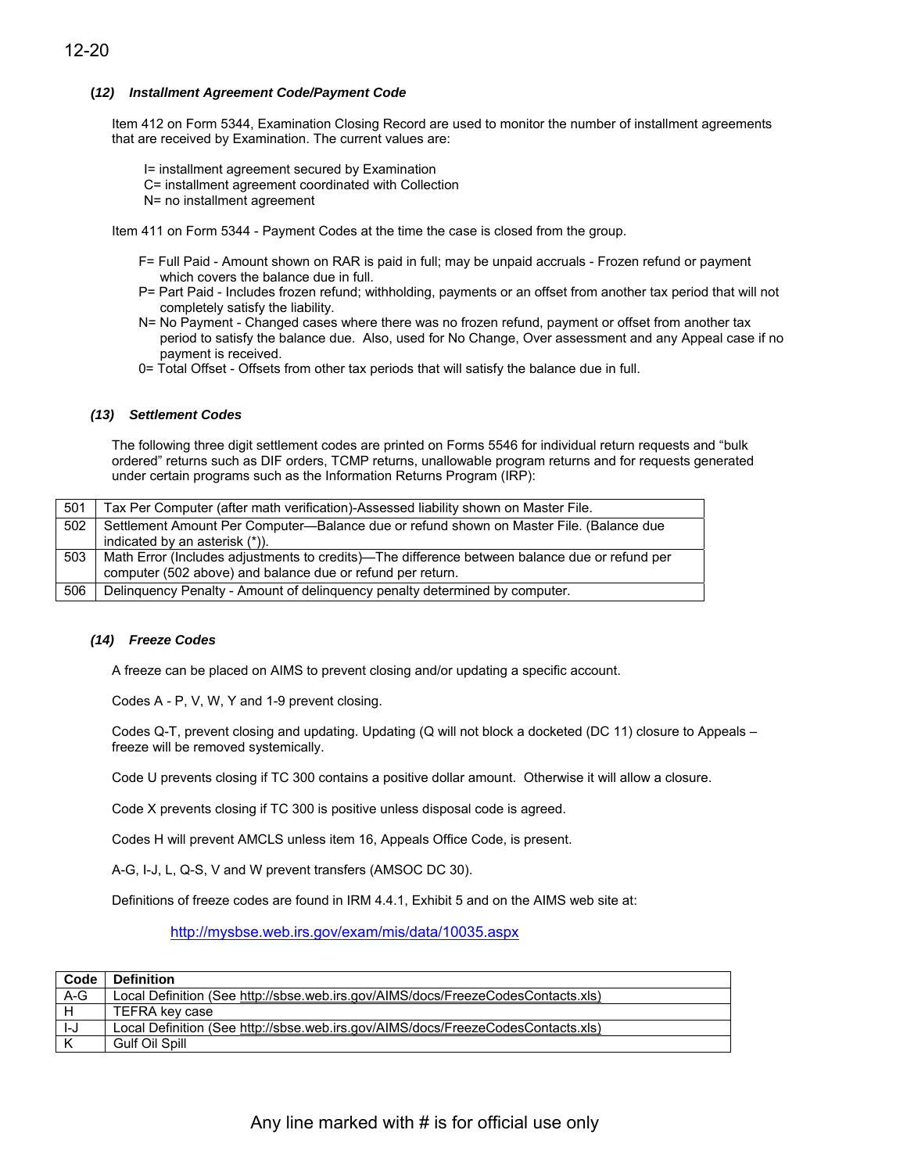## **(***12) Installment Agreement Code/Payment Code*

Item 412 on Form 5344, Examination Closing Record are used to monitor the number of installment agreements that are received by Examination. The current values are:

I= installment agreement secured by Examination C= installment agreement coordinated with Collection N= no installment agreement

Item 411 on Form 5344 - Payment Codes at the time the case is closed from the group.

- F= Full Paid Amount shown on RAR is paid in full; may be unpaid accruals Frozen refund or payment which covers the balance due in full.
- P= Part Paid Includes frozen refund; withholding, payments or an offset from another tax period that will not completely satisfy the liability.
- N= No Payment Changed cases where there was no frozen refund, payment or offset from another tax period to satisfy the balance due. Also, used for No Change, Over assessment and any Appeal case if no payment is received.
- 0= Total Offset Offsets from other tax periods that will satisfy the balance due in full.

## *(13) Settlement Codes*

The following three digit settlement codes are printed on Forms 5546 for individual return requests and "bulk ordered" returns such as DIF orders, TCMP returns, unallowable program returns and for requests generated under certain programs such as the Information Returns Program (IRP):

| 501 | Tax Per Computer (after math verification)-Assessed liability shown on Master File.                                                                         |
|-----|-------------------------------------------------------------------------------------------------------------------------------------------------------------|
| 502 | Settlement Amount Per Computer-Balance due or refund shown on Master File. (Balance due<br>indicated by an asterisk (*)).                                   |
| 503 | Math Error (Includes adjustments to credits)—The difference between balance due or refund per<br>computer (502 above) and balance due or refund per return. |
| 506 | Delinquency Penalty - Amount of delinquency penalty determined by computer.                                                                                 |

## *(14) Freeze Codes*

A freeze can be placed on AIMS to prevent closing and/or updating a specific account.

Codes A - P, V, W, Y and 1-9 prevent closing.

Codes Q-T, prevent closing and updating. Updating (Q will not block a docketed (DC 11) closure to Appeals – freeze will be removed systemically.

Code U prevents closing if TC 300 contains a positive dollar amount. Otherwise it will allow a closure.

Code X prevents closing if TC 300 is positive unless disposal code is agreed.

Codes H will prevent AMCLS unless item 16, Appeals Office Code, is present.

A-G, I-J, L, Q-S, V and W prevent transfers (AMSOC DC 30).

Definitions of freeze codes are found in IRM 4.4.1, Exhibit 5 and on the AIMS web site at:

<http://mysbse.web.irs.gov/exam/mis/data/10035.aspx>

| Code  | <b>Definition</b>                                                                |
|-------|----------------------------------------------------------------------------------|
| $A-G$ | Local Definition (See http://sbse.web.irs.gov/AIMS/docs/FreezeCodesContacts.xls) |
|       | TEFRA key case                                                                   |
| I-J   | Local Definition (See http://sbse.web.irs.gov/AIMS/docs/FreezeCodesContacts.xls) |
|       | Gulf Oil Spill                                                                   |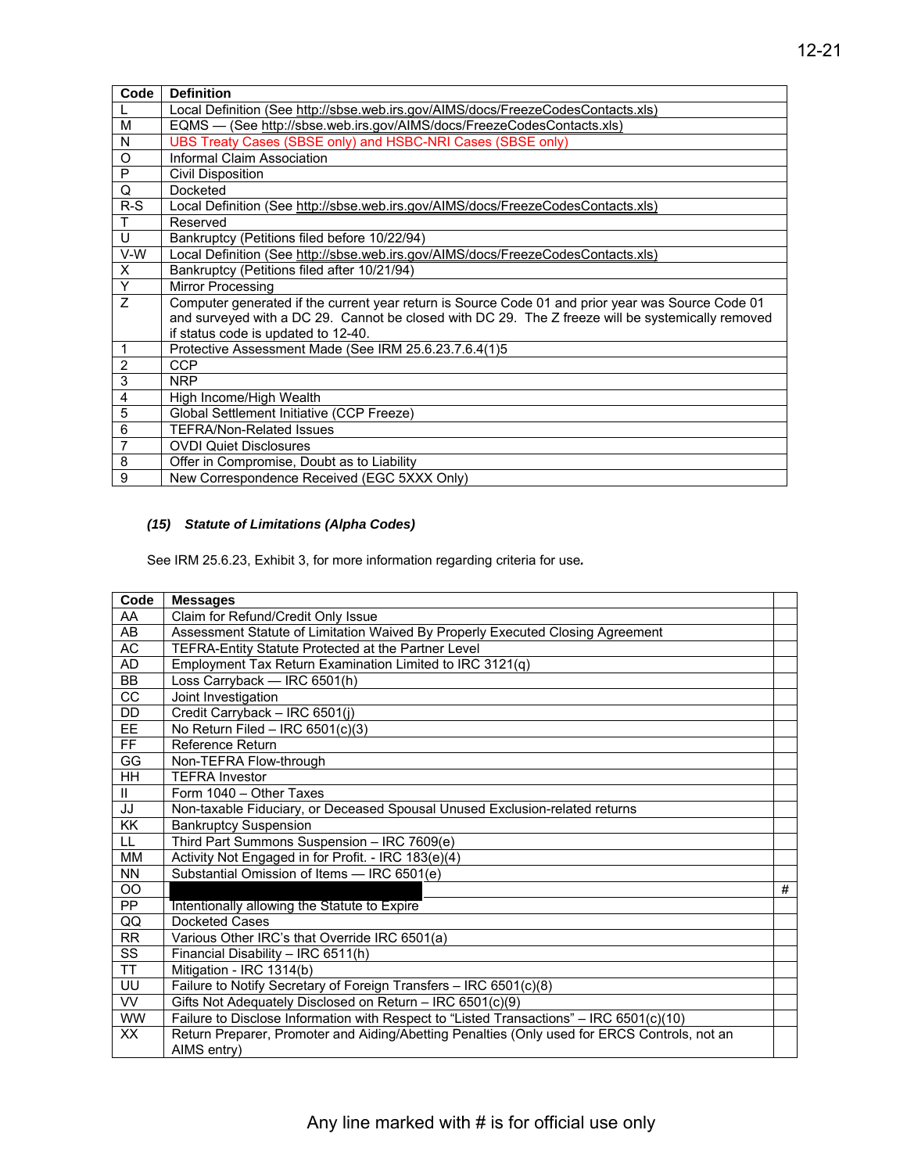| Code           | <b>Definition</b>                                                                                 |  |  |  |  |  |
|----------------|---------------------------------------------------------------------------------------------------|--|--|--|--|--|
|                | Local Definition (See http://sbse.web.irs.gov/AIMS/docs/FreezeCodesContacts.xls)                  |  |  |  |  |  |
| M              | EQMS — (See http://sbse.web.irs.gov/AIMS/docs/FreezeCodesContacts.xls)                            |  |  |  |  |  |
| N              | UBS Treaty Cases (SBSE only) and HSBC-NRI Cases (SBSE only)                                       |  |  |  |  |  |
| O              | Informal Claim Association                                                                        |  |  |  |  |  |
| P              | <b>Civil Disposition</b>                                                                          |  |  |  |  |  |
| Q              | Docketed                                                                                          |  |  |  |  |  |
| $R-S$          | Local Definition (See http://sbse.web.irs.gov/AIMS/docs/FreezeCodesContacts.xls)                  |  |  |  |  |  |
| Т              | Reserved                                                                                          |  |  |  |  |  |
| U              | Bankruptcy (Petitions filed before 10/22/94)                                                      |  |  |  |  |  |
| V-W            | Local Definition (See http://sbse.web.irs.gov/AIMS/docs/FreezeCodesContacts.xls)                  |  |  |  |  |  |
| X              | Bankruptcy (Petitions filed after 10/21/94)                                                       |  |  |  |  |  |
| Y              | Mirror Processing                                                                                 |  |  |  |  |  |
| Z              | Computer generated if the current year return is Source Code 01 and prior year was Source Code 01 |  |  |  |  |  |
|                | and surveyed with a DC 29. Cannot be closed with DC 29. The Z freeze will be systemically removed |  |  |  |  |  |
|                | if status code is updated to 12-40.                                                               |  |  |  |  |  |
|                | Protective Assessment Made (See IRM 25.6.23.7.6.4(1)5                                             |  |  |  |  |  |
| $\overline{2}$ | <b>CCP</b>                                                                                        |  |  |  |  |  |
| $\overline{3}$ | <b>NRP</b>                                                                                        |  |  |  |  |  |
| $\overline{4}$ | High Income/High Wealth                                                                           |  |  |  |  |  |
| 5              | Global Settlement Initiative (CCP Freeze)                                                         |  |  |  |  |  |
| 6              | <b>TEFRA/Non-Related Issues</b>                                                                   |  |  |  |  |  |
|                | <b>OVDI Quiet Disclosures</b>                                                                     |  |  |  |  |  |
| 8              | Offer in Compromise, Doubt as to Liability                                                        |  |  |  |  |  |
| 9              | New Correspondence Received (EGC 5XXX Only)                                                       |  |  |  |  |  |

#### *(15) Statute of Limitations (Alpha Codes)*

See IRM 25.6.23, Exhibit 3, for more information regarding criteria for use*.* 

| Code            | <b>Messages</b>                                                                                             |   |  |  |  |  |
|-----------------|-------------------------------------------------------------------------------------------------------------|---|--|--|--|--|
| AA              | Claim for Refund/Credit Only Issue                                                                          |   |  |  |  |  |
| AB              | Assessment Statute of Limitation Waived By Properly Executed Closing Agreement                              |   |  |  |  |  |
| $\sf AC$        | TEFRA-Entity Statute Protected at the Partner Level                                                         |   |  |  |  |  |
| <b>AD</b>       | Employment Tax Return Examination Limited to IRC 3121(q)                                                    |   |  |  |  |  |
| $\overline{BB}$ | Loss Carryback - IRC 6501(h)                                                                                |   |  |  |  |  |
| $\overline{cc}$ | Joint Investigation                                                                                         |   |  |  |  |  |
| DD              | Credit Carryback - IRC 6501(j)                                                                              |   |  |  |  |  |
| EE              | No Return Filed - IRC 6501(c)(3)                                                                            |   |  |  |  |  |
| FF.             | Reference Return                                                                                            |   |  |  |  |  |
| GG              | Non-TEFRA Flow-through                                                                                      |   |  |  |  |  |
| <b>HH</b>       | <b>TEFRA Investor</b>                                                                                       |   |  |  |  |  |
| $\mathbf{H}$    | Form 1040 - Other Taxes                                                                                     |   |  |  |  |  |
| JJ              | Non-taxable Fiduciary, or Deceased Spousal Unused Exclusion-related returns                                 |   |  |  |  |  |
| <b>KK</b>       | <b>Bankruptcy Suspension</b>                                                                                |   |  |  |  |  |
| LL.             | Third Part Summons Suspension - IRC 7609(e)                                                                 |   |  |  |  |  |
| MM              | Activity Not Engaged in for Profit. - IRC 183(e)(4)                                                         |   |  |  |  |  |
| <b>NN</b>       | Substantial Omission of Items - IRC 6501(e)                                                                 |   |  |  |  |  |
| OO              |                                                                                                             | # |  |  |  |  |
| $\overline{PP}$ | Intentionally allowing the Statute to Expire                                                                |   |  |  |  |  |
| QQ              | Docketed Cases                                                                                              |   |  |  |  |  |
| <b>RR</b>       | Various Other IRC's that Override IRC 6501(a)                                                               |   |  |  |  |  |
| SS              | Financial Disability - IRC 6511(h)                                                                          |   |  |  |  |  |
| <b>TT</b>       | Mitigation - IRC 1314(b)                                                                                    |   |  |  |  |  |
| UU              | Failure to Notify Secretary of Foreign Transfers - IRC 6501(c)(8)                                           |   |  |  |  |  |
| <b>VV</b>       | Gifts Not Adequately Disclosed on Return - IRC 6501(c)(9)                                                   |   |  |  |  |  |
| <b>WW</b>       | Failure to Disclose Information with Respect to "Listed Transactions" - IRC 6501(c)(10)                     |   |  |  |  |  |
| XX              | Return Preparer, Promoter and Aiding/Abetting Penalties (Only used for ERCS Controls, not an<br>AIMS entry) |   |  |  |  |  |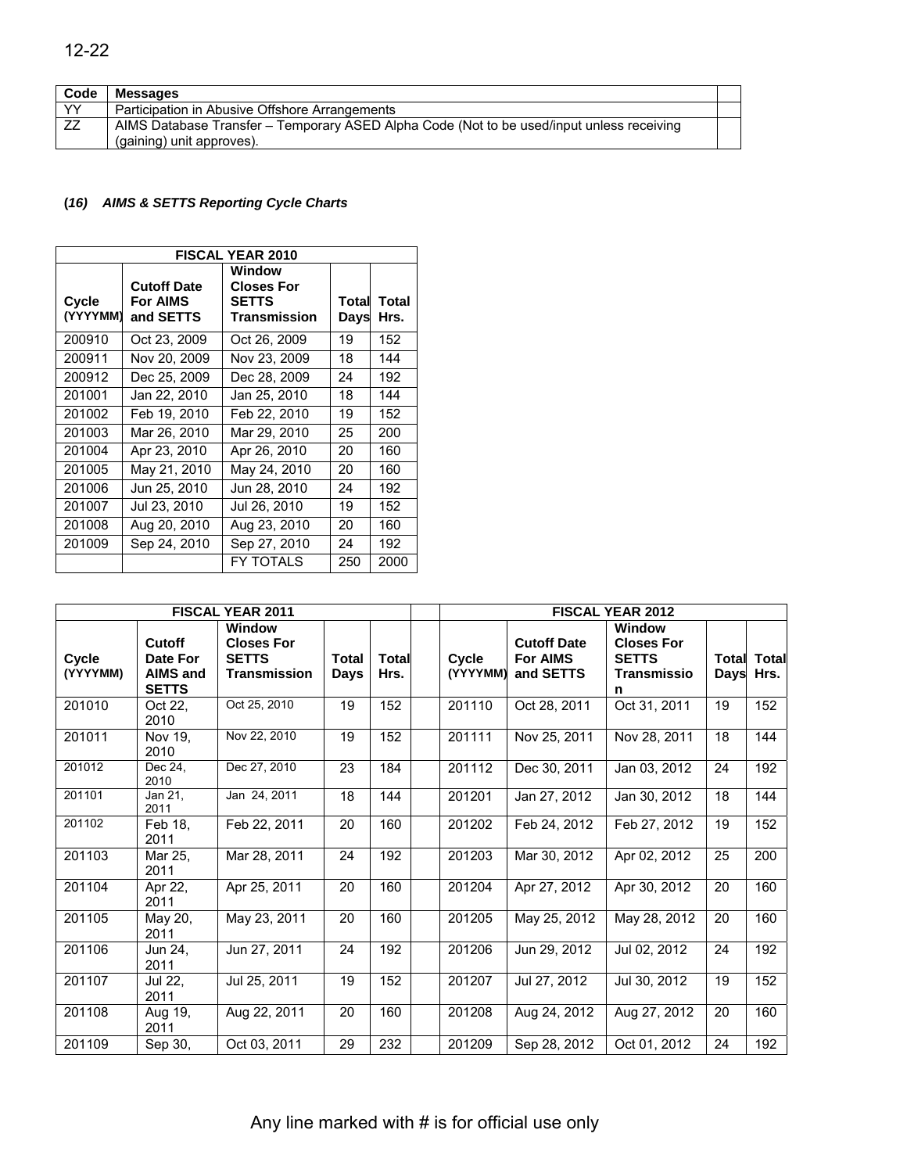| Code | <b>Messages</b>                                                                           |  |
|------|-------------------------------------------------------------------------------------------|--|
| YY.  | Participation in Abusive Offshore Arrangements                                            |  |
| ZZ   | AIMS Database Transfer – Temporary ASED Alpha Code (Not to be used/input unless receiving |  |
|      | (gaining) unit approves).                                                                 |  |

#### **(***16) AIMS & SETTS Reporting Cycle Charts*

| <b>FISCAL YEAR 2010</b> |                                                    |                                                             |               |               |  |  |  |
|-------------------------|----------------------------------------------------|-------------------------------------------------------------|---------------|---------------|--|--|--|
| Cycle<br>(YYYYMM)       | <b>Cutoff Date</b><br><b>For AIMS</b><br>and SETTS | Window<br><b>Closes For</b><br><b>SETTS</b><br>Transmission | Total<br>Days | Total<br>Hrs. |  |  |  |
| 200910                  | Oct 23, 2009                                       | Oct 26, 2009                                                | 19            | 152           |  |  |  |
| 200911                  | Nov 20, 2009                                       | Nov 23, 2009                                                | 18            | 144           |  |  |  |
| 200912                  | Dec 25, 2009                                       | Dec 28, 2009                                                | 24            | 192           |  |  |  |
| 201001                  | Jan 22, 2010                                       | Jan 25, 2010                                                | 18            | 144           |  |  |  |
| 201002                  | Feb 19, 2010                                       | Feb 22, 2010                                                | 19            | 152           |  |  |  |
| 201003                  | Mar 26, 2010                                       | Mar 29, 2010                                                | 25            | 200           |  |  |  |
| 201004                  | Apr 23, 2010                                       | Apr 26, 2010                                                | 20            | 160           |  |  |  |
| 201005                  | May 21, 2010                                       | May 24, 2010                                                | 20            | 160           |  |  |  |
| 201006                  | Jun 25, 2010                                       | Jun 28, 2010                                                | 24            | 192           |  |  |  |
| 201007                  | Jul 23, 2010                                       | Jul 26, 2010                                                | 19            | 152           |  |  |  |
| 201008                  | Aug 20, 2010                                       | Aug 23, 2010                                                | 20            | 160           |  |  |  |
| 201009                  | Sep 24, 2010                                       | Sep 27, 2010                                                | 24            | 192           |  |  |  |
|                         |                                                    | <b>FY TOTALS</b>                                            | 250           | 2000          |  |  |  |

| <b>FISCAL YEAR 2011</b> |                                                       |                                                                    |                 |                      | <b>FISCAL YEAR 2012</b> |                                                    |                                                                        |      |                            |
|-------------------------|-------------------------------------------------------|--------------------------------------------------------------------|-----------------|----------------------|-------------------------|----------------------------------------------------|------------------------------------------------------------------------|------|----------------------------|
| Cycle<br>(YYYYMM)       | Cutoff<br>Date For<br><b>AIMS and</b><br><b>SETTS</b> | Window<br><b>Closes For</b><br><b>SETTS</b><br><b>Transmission</b> | Total<br>Days   | <b>Total</b><br>Hrs. | Cycle<br>(YYYYMM)       | <b>Cutoff Date</b><br><b>For AIMS</b><br>and SETTS | Window<br><b>Closes For</b><br><b>SETTS</b><br><b>Transmissio</b><br>n | Days | <b>Total Total</b><br>Hrs. |
| 201010                  | Oct 22.<br>2010                                       | Oct 25, 2010                                                       | 19              | 152                  | 201110                  | Oct 28, 2011                                       | Oct 31, 2011                                                           | 19   | 152                        |
| 201011                  | Nov 19.<br>2010                                       | Nov 22, 2010                                                       | 19              | 152                  | 201111                  | Nov 25, 2011                                       | Nov 28, 2011                                                           | 18   | 144                        |
| 201012                  | Dec 24,<br>2010                                       | Dec 27, 2010                                                       | 23              | 184                  | 201112                  | Dec 30, 2011                                       | Jan 03, 2012                                                           | 24   | 192                        |
| 201101                  | Jan 21,<br>2011                                       | Jan 24, 2011                                                       | 18              | 144                  | 201201                  | Jan 27, 2012                                       | Jan 30, 2012                                                           | 18   | 144                        |
| 201102                  | Feb 18,<br>2011                                       | Feb 22, 2011                                                       | 20              | 160                  | 201202                  | Feb 24, 2012                                       | Feb 27, 2012                                                           | 19   | 152                        |
| 201103                  | Mar 25,<br>2011                                       | Mar 28, 2011                                                       | 24              | 192                  | 201203                  | Mar 30, 2012                                       | Apr 02, 2012                                                           | 25   | 200                        |
| 201104                  | Apr 22,<br>2011                                       | Apr 25, 2011                                                       | $\overline{20}$ | 160                  | 201204                  | Apr 27, 2012                                       | Apr 30, 2012                                                           | 20   | 160                        |
| 201105                  | May 20,<br>2011                                       | May 23, 2011                                                       | 20              | 160                  | 201205                  | May 25, 2012                                       | May 28, 2012                                                           | 20   | 160                        |
| 201106                  | Jun 24,<br>2011                                       | Jun 27, 2011                                                       | $\overline{24}$ | 192                  | 201206                  | Jun 29, 2012                                       | Jul 02, 2012                                                           | 24   | 192                        |
| 201107                  | Jul 22,<br>2011                                       | Jul 25, 2011                                                       | 19              | 152                  | 201207                  | Jul 27, 2012                                       | Jul 30, 2012                                                           | 19   | 152                        |
| 201108                  | Aug 19,<br>2011                                       | Aug 22, 2011                                                       | 20              | 160                  | 201208                  | Aug 24, 2012                                       | Aug 27, 2012                                                           | 20   | 160                        |
| 201109                  | Sep 30,                                               | Oct 03, 2011                                                       | 29              | 232                  | 201209                  | Sep 28, 2012                                       | Oct 01, 2012                                                           | 24   | 192                        |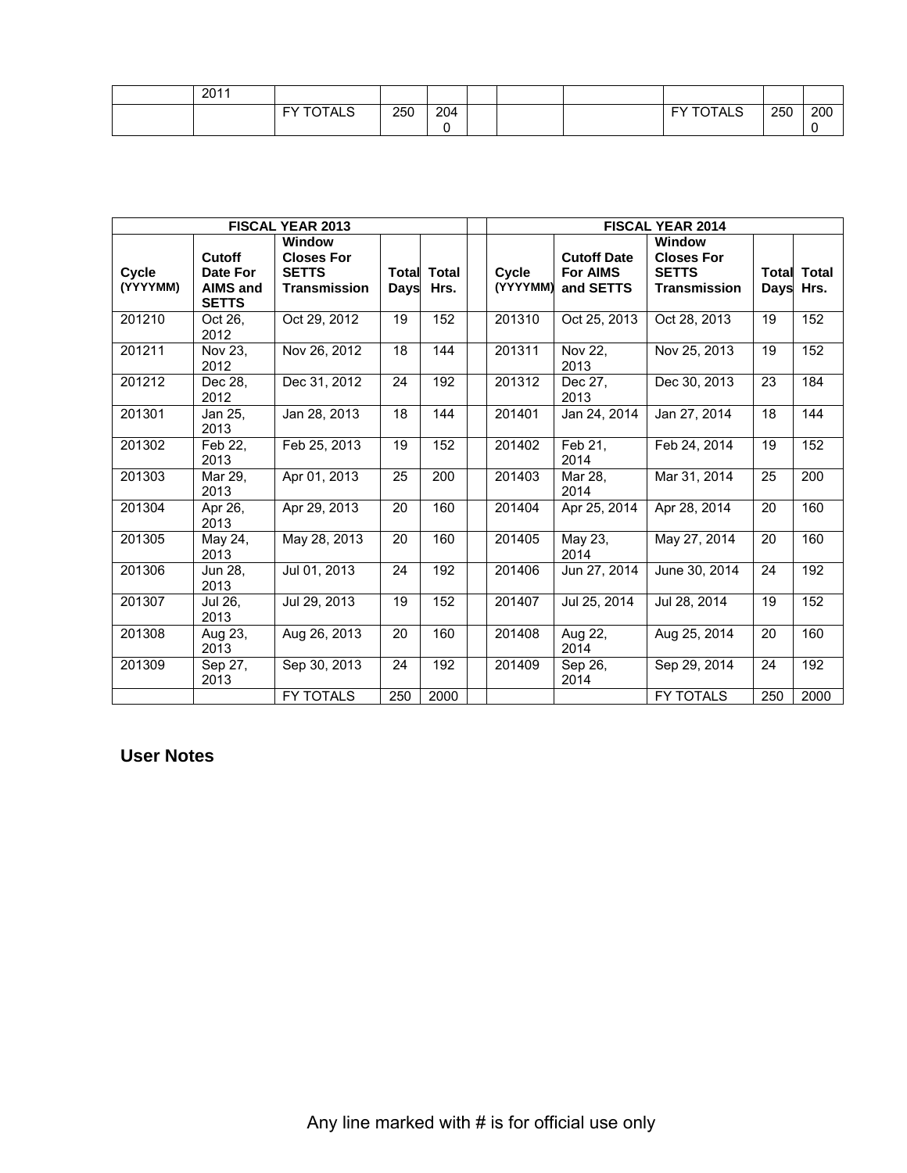| 2011 |                  |     |          |  |                  |     |     |
|------|------------------|-----|----------|--|------------------|-----|-----|
|      | <b>FY TOTALS</b> | 250 | 204<br>- |  | <b>FY TOTALS</b> | 250 | 200 |

| <b>FISCAL YEAR 2013</b> |                                                |                                                                    |                      | <b>FISCAL YEAR 2014</b> |                   |                                                    |                                                                           |               |                      |
|-------------------------|------------------------------------------------|--------------------------------------------------------------------|----------------------|-------------------------|-------------------|----------------------------------------------------|---------------------------------------------------------------------------|---------------|----------------------|
| Cycle<br>(YYYYMM)       | Cutoff<br>Date For<br>AIMS and<br><b>SETTS</b> | Window<br><b>Closes For</b><br><b>SETTS</b><br><b>Transmission</b> | <b>Total</b><br>Days | Total<br>Hrs.           | Cycle<br>(YYYYMM) | <b>Cutoff Date</b><br><b>For AIMS</b><br>and SETTS | <b>Window</b><br><b>Closes For</b><br><b>SETTS</b><br><b>Transmission</b> | Total<br>Days | <b>Total</b><br>Hrs. |
| 201210                  | Oct 26.<br>2012                                | Oct 29, 2012                                                       | 19                   | 152                     | 201310            | Oct 25, 2013                                       | Oct 28, 2013                                                              | 19            | 152                  |
| 201211                  | Nov 23.<br>2012                                | Nov 26, 2012                                                       | 18                   | 144                     | 201311            | Nov 22,<br>2013                                    | Nov 25, 2013                                                              | 19            | 152                  |
| 201212                  | Dec 28.<br>2012                                | Dec 31, 2012                                                       | 24                   | 192                     | 201312            | Dec 27.<br>2013                                    | Dec 30, 2013                                                              | 23            | 184                  |
| 201301                  | Jan 25,<br>2013                                | Jan 28, 2013                                                       | 18                   | 144                     | 201401            | Jan 24, 2014                                       | Jan 27, 2014                                                              | 18            | 144                  |
| 201302                  | Feb 22,<br>2013                                | Feb 25, 2013                                                       | 19                   | 152                     | 201402            | Feb 21,<br>2014                                    | Feb 24, 2014                                                              | 19            | 152                  |
| 201303                  | Mar 29,<br>2013                                | Apr 01, 2013                                                       | 25                   | 200                     | 201403            | $\overline{\text{Mar}}$ 28,<br>2014                | Mar 31, 2014                                                              | 25            | 200                  |
| 201304                  | Apr 26,<br>2013                                | Apr 29, 2013                                                       | 20                   | 160                     | 201404            | Apr 25, 2014                                       | Apr 28, 2014                                                              | 20            | 160                  |
| 201305                  | May 24,<br>2013                                | May 28, 2013                                                       | 20                   | 160                     | 201405            | May 23,<br>2014                                    | May 27, 2014                                                              | 20            | 160                  |
| 201306                  | Jun 28,<br>2013                                | Jul 01, 2013                                                       | 24                   | 192                     | 201406            | Jun 27, 2014                                       | June 30, 2014                                                             | 24            | 192                  |
| 201307                  | Jul 26.<br>2013                                | Jul 29, 2013                                                       | 19                   | 152                     | 201407            | Jul 25, 2014                                       | Jul 28, 2014                                                              | 19            | 152                  |
| 201308                  | Aug 23,<br>2013                                | Aug 26, 2013                                                       | 20                   | 160                     | 201408            | Aug 22,<br>2014                                    | Aug 25, 2014                                                              | 20            | 160                  |
| 201309                  | Sep 27,<br>2013                                | Sep 30, 2013                                                       | 24                   | 192                     | 201409            | Sep 26,<br>2014                                    | Sep 29, 2014                                                              | 24            | 192                  |
|                         |                                                | <b>FY TOTALS</b>                                                   | 250                  | 2000                    |                   |                                                    | <b>FY TOTALS</b>                                                          | 250           | 2000                 |

## **User Notes**